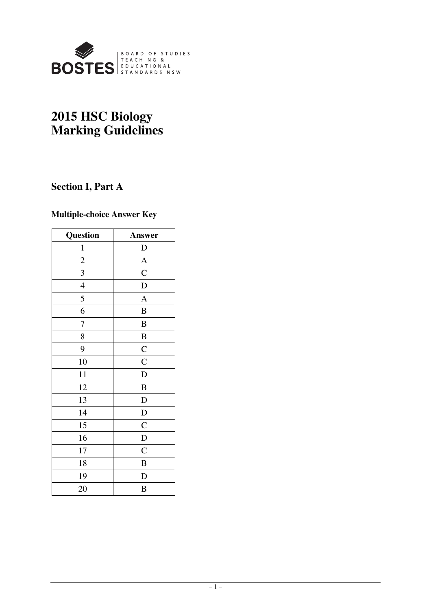

# **2015 HSC Biology Marking Guidelines**

## **Section I, Part A**

## **Multiple-choice Answer Key**

| Question       | <b>Answer</b>  |
|----------------|----------------|
| $\mathbf{1}$   | $\mathbf D$    |
| $\overline{c}$ | $\mathbf{A}$   |
| 3              | $\mathsf{C}$   |
| $\overline{4}$ | $\mathbf D$    |
| 5              | $\overline{A}$ |
| 6              | $\bf{B}$       |
| 7              | $\bf{B}$       |
| 8              | $\bf{B}$       |
| 9              | $\mathbf C$    |
| 10             | $\mathbf C$    |
| 11             | $\mathbf D$    |
| 12             | $\bf{B}$       |
| 13             | D              |
| 14             | $\mathbf D$    |
| 15             | $\mathsf{C}$   |
| 16             | $\mathbf D$    |
| 17             | $\mathsf{C}$   |
| 18             | $\bf{B}$       |
| 19             | D              |
| 20             | $\bf{B}$       |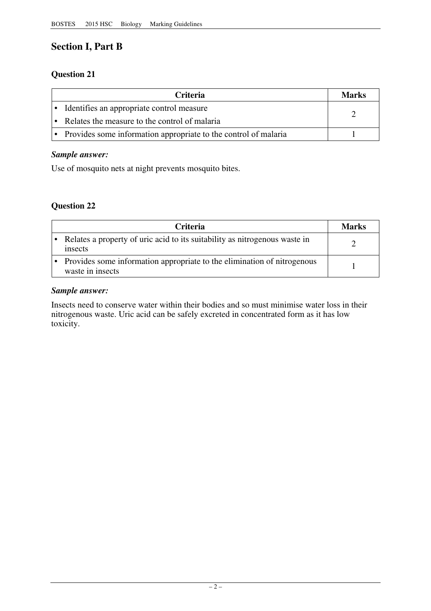## **Section I, Part B**

## **Question 21**

| <b>Criteria</b>                                                   | Marks |
|-------------------------------------------------------------------|-------|
| • Identifies an appropriate control measure                       |       |
| • Relates the measure to the control of malaria                   |       |
| • Provides some information appropriate to the control of malaria |       |

## *Sample answer:*

Use of mosquito nets at night prevents mosquito bites.

## **Question 22**

| <b>Criteria</b>                                                                             | Marks |
|---------------------------------------------------------------------------------------------|-------|
| Relates a property of uric acid to its suitability as nitrogenous waste in<br>insects       |       |
| Provides some information appropriate to the elimination of nitrogenous<br>waste in insects |       |

## *Sample answer:*

Insects need to conserve water within their bodies and so must minimise water loss in their nitrogenous waste. Uric acid can be safely excreted in concentrated form as it has low toxicity.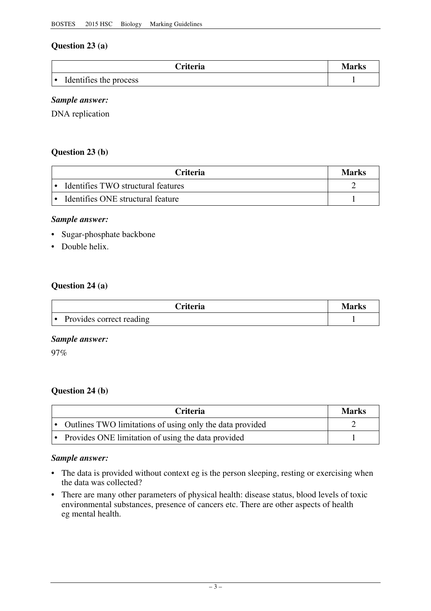## **Question 23 (a)**

| <b>Criteria</b>        | Marks |
|------------------------|-------|
| Identifies the process |       |

### *Sample answer:*

DNA replication

### **Question 23 (b)**

| <b>Criteria</b>                    | Marks |
|------------------------------------|-------|
| Identifies TWO structural features |       |
| Identifies ONE structural feature  |       |

#### *Sample answer:*

- Sugar-phosphate backbone
- Double helix.

#### **Question 24 (a)**

| <b>Triteria</b>                 | Marks |
|---------------------------------|-------|
| Provides correct reading<br>∣ ● |       |

#### *Sample answer:*

97%

### **Question 24 (b)**

| <b>Criteria</b>                                            | <b>Marks</b> |
|------------------------------------------------------------|--------------|
| • Outlines TWO limitations of using only the data provided |              |
| • Provides ONE limitation of using the data provided       |              |

#### *Sample answer:*

- The data is provided without context eg is the person sleeping, resting or exercising when the data was collected?
- There are many other parameters of physical health: disease status, blood levels of toxic environmental substances, presence of cancers etc. There are other aspects of health eg mental health.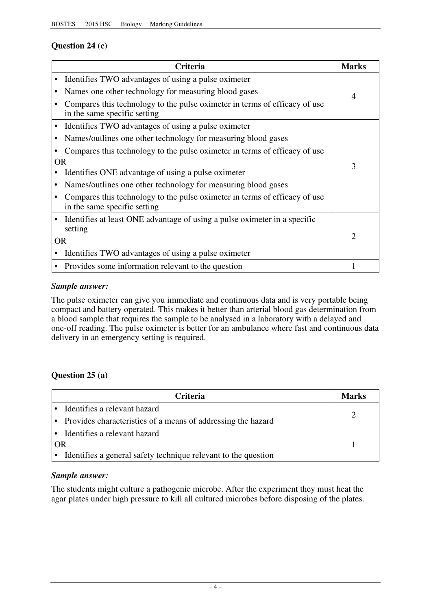## **Question 24 (c)**

|           | Criteria                                                                                                   | <b>Marks</b>                |
|-----------|------------------------------------------------------------------------------------------------------------|-----------------------------|
|           | Identifies TWO advantages of using a pulse oximeter                                                        |                             |
|           | Names one other technology for measuring blood gases                                                       | $\overline{4}$              |
|           | Compares this technology to the pulse oximeter in terms of efficacy of use<br>in the same specific setting |                             |
|           | Identifies TWO advantages of using a pulse oximeter                                                        |                             |
|           | Names/outlines one other technology for measuring blood gases                                              |                             |
|           | Compares this technology to the pulse oximeter in terms of efficacy of use                                 |                             |
| 0R        |                                                                                                            | 3                           |
|           | Identifies ONE advantage of using a pulse oximeter                                                         |                             |
|           | Names/outlines one other technology for measuring blood gases                                              |                             |
|           | Compares this technology to the pulse oximeter in terms of efficacy of use<br>in the same specific setting |                             |
|           | Identifies at least ONE advantage of using a pulse oximeter in a specific<br>setting                       |                             |
| <b>OR</b> |                                                                                                            | $\mathcal{D}_{\mathcal{L}}$ |
|           | Identifies TWO advantages of using a pulse oximeter                                                        |                             |
|           | Provides some information relevant to the question                                                         |                             |

### *Sample answer:*

The pulse oximeter can give you immediate and continuous data and is very portable being compact and battery operated. This makes it better than arterial blood gas determination from a blood sample that requires the sample to be analysed in a laboratory with a delayed and one-off reading. The pulse oximeter is better for an ambulance where fast and continuous data delivery in an emergency setting is required.

### **Question 25 (a)**

| <b>Criteria</b>                                                | Marks |
|----------------------------------------------------------------|-------|
| Identifies a relevant hazard                                   |       |
| • Provides characteristics of a means of addressing the hazard |       |
| • Identifies a relevant hazard                                 |       |
| OR                                                             |       |
| Identifies a general safety technique relevant to the question |       |

### *Sample answer:*

The students might culture a pathogenic microbe. After the experiment they must heat the agar plates under high pressure to kill all cultured microbes before disposing of the plates.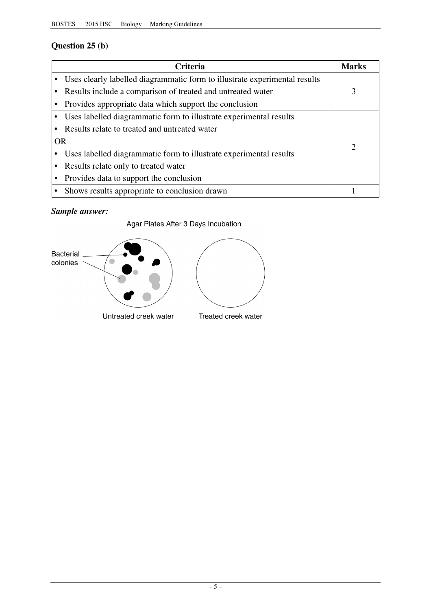## **Question 25 (b)**

| Criteria                                                                   | <b>Marks</b>  |
|----------------------------------------------------------------------------|---------------|
| Uses clearly labelled diagrammatic form to illustrate experimental results |               |
| Results include a comparison of treated and untreated water                | 3             |
| Provides appropriate data which support the conclusion                     |               |
| Uses labelled diagrammatic form to illustrate experimental results         |               |
| Results relate to treated and untreated water                              |               |
| <b>OR</b>                                                                  | $\mathcal{D}$ |
| Uses labelled diagrammatic form to illustrate experimental results         |               |
| Results relate only to treated water                                       |               |
| Provides data to support the conclusion                                    |               |
| • Shows results appropriate to conclusion drawn                            |               |

## *Sample answer:*

Agar Plates After 3 Days Incubation



Untreated creek water

Treated creek water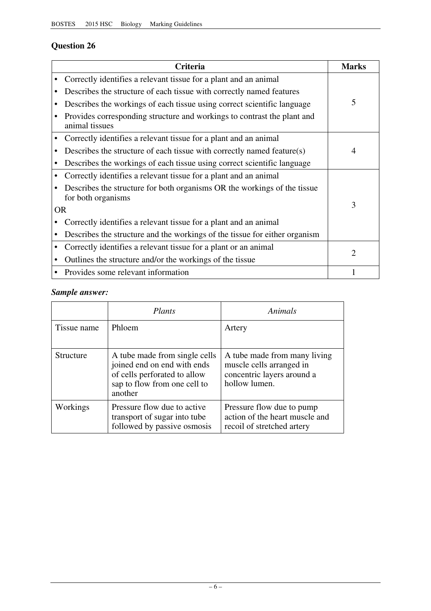# **Question 26**

|           | <b>Criteria</b>                                                                                | <b>Marks</b>   |
|-----------|------------------------------------------------------------------------------------------------|----------------|
|           | Correctly identifies a relevant tissue for a plant and an animal                               |                |
|           | Describes the structure of each tissue with correctly named features                           |                |
|           | Describes the workings of each tissue using correct scientific language                        | 5              |
|           | Provides corresponding structure and workings to contrast the plant and<br>animal tissues      |                |
|           | Correctly identifies a relevant tissue for a plant and an animal                               |                |
|           | Describes the structure of each tissue with correctly named feature(s)                         | $\overline{4}$ |
|           | Describes the workings of each tissue using correct scientific language                        |                |
|           | Correctly identifies a relevant tissue for a plant and an animal                               |                |
|           | Describes the structure for both organisms OR the workings of the tissue<br>for both organisms |                |
| <b>OR</b> |                                                                                                | 3              |
|           | Correctly identifies a relevant tissue for a plant and an animal                               |                |
|           | Describes the structure and the workings of the tissue for either organism                     |                |
|           | Correctly identifies a relevant tissue for a plant or an animal                                | $\mathfrak{D}$ |
|           | Outlines the structure and/or the workings of the tissue                                       |                |
|           | Provides some relevant information                                                             |                |

## *Sample answer:*

|             | Plants                                                                                                                                  | Animals                                                                                                 |
|-------------|-----------------------------------------------------------------------------------------------------------------------------------------|---------------------------------------------------------------------------------------------------------|
| Tissue name | <b>Phloem</b>                                                                                                                           | Artery                                                                                                  |
| Structure   | A tube made from single cells<br>joined end on end with ends<br>of cells perforated to allow<br>sap to flow from one cell to<br>another | A tube made from many living<br>muscle cells arranged in<br>concentric layers around a<br>hollow lumen. |
| Workings    | Pressure flow due to active<br>transport of sugar into tube<br>followed by passive osmosis                                              | Pressure flow due to pump<br>action of the heart muscle and<br>recoil of stretched artery               |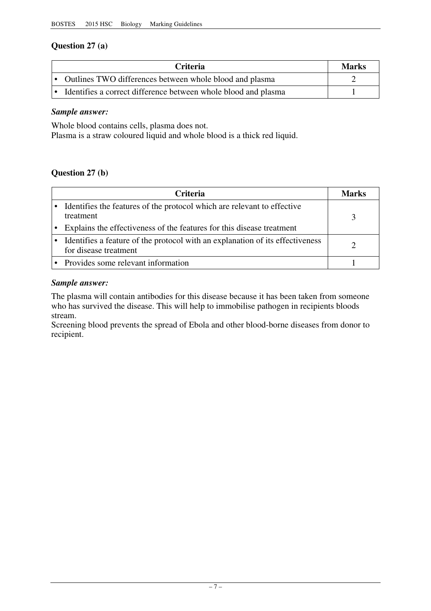## **Question 27 (a)**

| <b>Criteria</b>                                                  | <b>Marks</b> |
|------------------------------------------------------------------|--------------|
| • Outlines TWO differences between whole blood and plasma        |              |
| • Identifies a correct difference between whole blood and plasma |              |

### *Sample answer:*

Whole blood contains cells, plasma does not.

Plasma is a straw coloured liquid and whole blood is a thick red liquid.

## **Question 27 (b)**

| <b>Criteria</b>                                                                                        | Marks |
|--------------------------------------------------------------------------------------------------------|-------|
| Identifies the features of the protocol which are relevant to effective<br>treatment                   |       |
| Explains the effectiveness of the features for this disease treatment                                  |       |
| Identifies a feature of the protocol with an explanation of its effectiveness<br>for disease treatment |       |
| • Provides some relevant information                                                                   |       |

### *Sample answer:*

The plasma will contain antibodies for this disease because it has been taken from someone who has survived the disease. This will help to immobilise pathogen in recipients bloods stream.

Screening blood prevents the spread of Ebola and other blood-borne diseases from donor to recipient.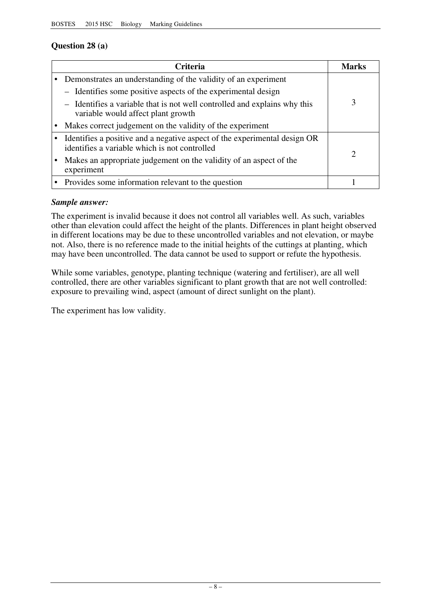## **Question 28 (a)**

| Criteria                                                                                                                   | Marks |
|----------------------------------------------------------------------------------------------------------------------------|-------|
| Demonstrates an understanding of the validity of an experiment                                                             |       |
| - Identifies some positive aspects of the experimental design                                                              |       |
| - Identifies a variable that is not well controlled and explains why this<br>variable would affect plant growth            |       |
| Makes correct judgement on the validity of the experiment                                                                  |       |
| Identifies a positive and a negative aspect of the experimental design OR<br>identifies a variable which is not controlled | 2     |
| Makes an appropriate judgement on the validity of an aspect of the<br>experiment                                           |       |
| • Provides some information relevant to the question                                                                       |       |

## *Sample answer:*

The experiment is invalid because it does not control all variables well. As such, variables other than elevation could affect the height of the plants. Differences in plant height observed in different locations may be due to these uncontrolled variables and not elevation, or maybe not. Also, there is no reference made to the initial heights of the cuttings at planting, which may have been uncontrolled. The data cannot be used to support or refute the hypothesis.

While some variables, genotype, planting technique (watering and fertiliser), are all well controlled, there are other variables significant to plant growth that are not well controlled: exposure to prevailing wind, aspect (amount of direct sunlight on the plant).

The experiment has low validity.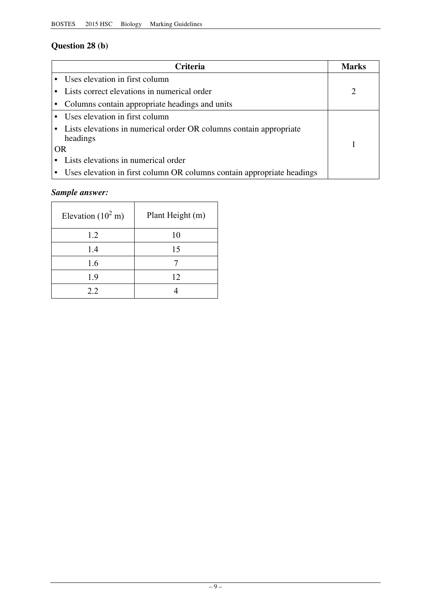# **Question 28 (b)**

| <b>Criteria</b>                                                                  | <b>Marks</b> |
|----------------------------------------------------------------------------------|--------------|
| • Uses elevation in first column                                                 |              |
| Lists correct elevations in numerical order                                      |              |
| • Columns contain appropriate headings and units                                 |              |
| • Uses elevation in first column                                                 |              |
| • Lists elevations in numerical order OR columns contain appropriate<br>headings |              |
| OR                                                                               |              |
| Lists elevations in numerical order                                              |              |
| • Uses elevation in first column OR columns contain appropriate headings         |              |

## *Sample answer:*

| Elevation $(10^2 \text{ m})$ | Plant Height (m) |
|------------------------------|------------------|
| 1.2                          | 10               |
| 1.4                          | 15               |
| 1.6                          |                  |
| 1.9                          | 12               |
| 22                           |                  |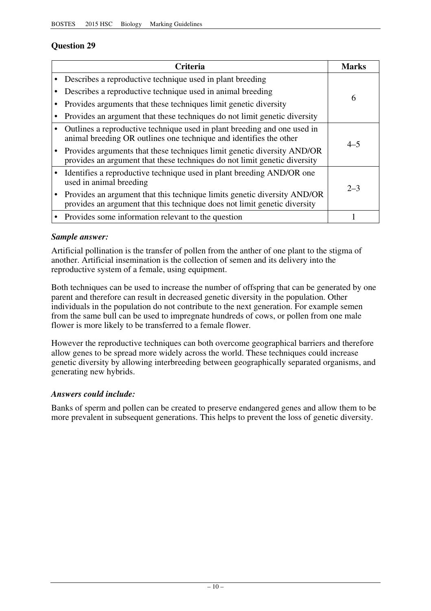## **Question 29**

| Criteria                                                                                                                                              | Marks   |
|-------------------------------------------------------------------------------------------------------------------------------------------------------|---------|
| Describes a reproductive technique used in plant breeding                                                                                             |         |
| Describes a reproductive technique used in animal breeding                                                                                            |         |
| Provides arguments that these techniques limit genetic diversity                                                                                      | 6       |
| Provides an argument that these techniques do not limit genetic diversity                                                                             |         |
| Outlines a reproductive technique used in plant breeding and one used in<br>animal breeding OR outlines one technique and identifies the other        | $4 - 5$ |
| Provides arguments that these techniques limit genetic diversity AND/OR<br>provides an argument that these techniques do not limit genetic diversity  |         |
| Identifies a reproductive technique used in plant breeding AND/OR one<br>used in animal breeding                                                      | $2 - 3$ |
| Provides an argument that this technique limits genetic diversity AND/OR<br>provides an argument that this technique does not limit genetic diversity |         |
| Provides some information relevant to the question                                                                                                    |         |

### *Sample answer:*

Artificial pollination is the transfer of pollen from the anther of one plant to the stigma of another. Artificial insemination is the collection of semen and its delivery into the reproductive system of a female, using equipment.

Both techniques can be used to increase the number of offspring that can be generated by one parent and therefore can result in decreased genetic diversity in the population. Other individuals in the population do not contribute to the next generation. For example semen from the same bull can be used to impregnate hundreds of cows, or pollen from one male flower is more likely to be transferred to a female flower.

However the reproductive techniques can both overcome geographical barriers and therefore allow genes to be spread more widely across the world. These techniques could increase genetic diversity by allowing interbreeding between geographically separated organisms, and generating new hybrids.

### *Answers could include:*

Banks of sperm and pollen can be created to preserve endangered genes and allow them to be more prevalent in subsequent generations. This helps to prevent the loss of genetic diversity.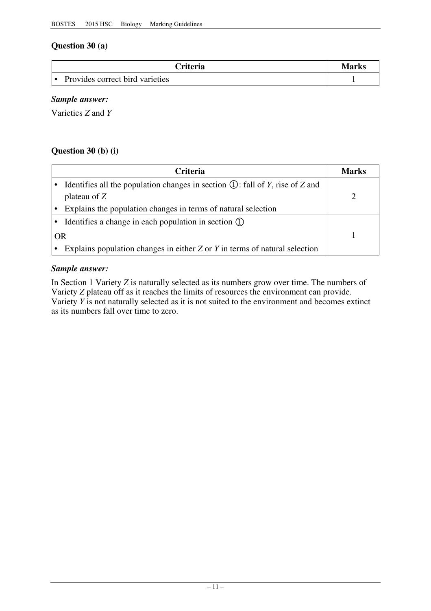## **Question 30 (a)**

| <b>Triteria</b>                 | Marks |
|---------------------------------|-------|
| Provides correct bird varieties |       |

## *Sample answer:*

Varieties *Z* and *Y* 

## **Question 30 (b) (i)**

|    | <b>Criteria</b>                                                                   | Marks |
|----|-----------------------------------------------------------------------------------|-------|
|    | Identifies all the population changes in section $(1)$ : fall of Y, rise of Z and |       |
|    | plateau of $Z$                                                                    |       |
|    | Explains the population changes in terms of natural selection                     |       |
|    | Identifies a change in each population in section $(1)$                           |       |
| OR |                                                                                   |       |
|    | Explains population changes in either $Z$ or $Y$ in terms of natural selection    |       |

### *Sample answer:*

In Section 1 Variety *Z* is naturally selected as its numbers grow over time. The numbers of Variety *Z* plateau off as it reaches the limits of resources the environment can provide. Variety *Y* is not naturally selected as it is not suited to the environment and becomes extinct as its numbers fall over time to zero.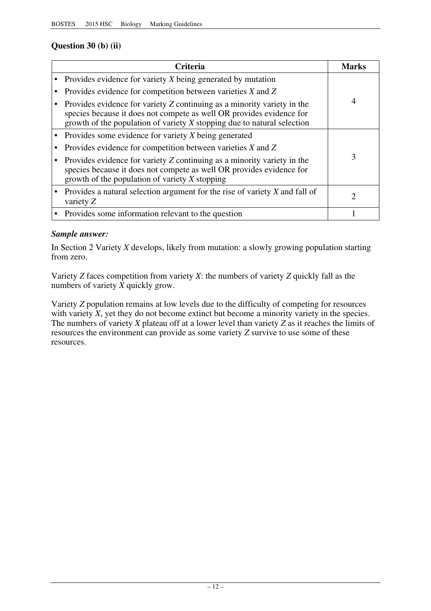## **Question 30 (b) (ii)**

| Criteria                                                                                                                                                                                                                     | Marks |
|------------------------------------------------------------------------------------------------------------------------------------------------------------------------------------------------------------------------------|-------|
| Provides evidence for variety X being generated by mutation                                                                                                                                                                  |       |
| Provides evidence for competition between varieties $X$ and $Z$                                                                                                                                                              |       |
| Provides evidence for variety Z continuing as a minority variety in the<br>species because it does not compete as well OR provides evidence for<br>growth of the population of variety $X$ stopping due to natural selection | 4     |
| Provides some evidence for variety X being generated                                                                                                                                                                         |       |
| Provides evidence for competition between varieties $X$ and $Z$                                                                                                                                                              |       |
| Provides evidence for variety Z continuing as a minority variety in the<br>species because it does not compete as well OR provides evidence for<br>growth of the population of variety $X$ stopping                          | 3     |
| Provides a natural selection argument for the rise of variety $X$ and fall of<br>variety $Z$                                                                                                                                 |       |
| Provides some information relevant to the question                                                                                                                                                                           |       |

### *Sample answer:*

In Section 2 Variety *X* develops, likely from mutation: a slowly growing population starting from zero.

Variety *Z* faces competition from variety *X*: the numbers of variety *Z* quickly fall as the numbers of variety *X* quickly grow.

Variety *Z* population remains at low levels due to the difficulty of competing for resources with variety  $\overline{X}$ , yet they do not become extinct but become a minority variety in the species. The numbers of variety *X* plateau off at a lower level than variety *Z* as it reaches the limits of resources the environment can provide as some variety *Z* survive to use some of these resources.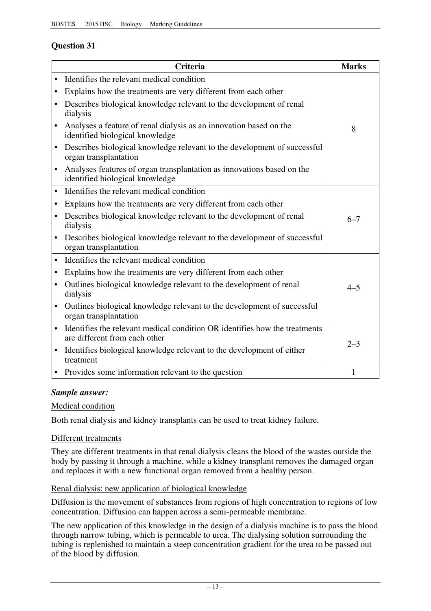## **Question 31**

|           | Criteria                                                                                                    | <b>Marks</b> |
|-----------|-------------------------------------------------------------------------------------------------------------|--------------|
| $\bullet$ | Identifies the relevant medical condition                                                                   |              |
| $\bullet$ | Explains how the treatments are very different from each other                                              |              |
| ٠         | Describes biological knowledge relevant to the development of renal<br>dialysis                             |              |
| $\bullet$ | Analyses a feature of renal dialysis as an innovation based on the<br>identified biological knowledge       | 8            |
| $\bullet$ | Describes biological knowledge relevant to the development of successful<br>organ transplantation           |              |
| $\bullet$ | Analyses features of organ transplantation as innovations based on the<br>identified biological knowledge   |              |
| $\bullet$ | Identifies the relevant medical condition                                                                   |              |
| ٠         | Explains how the treatments are very different from each other                                              |              |
| $\bullet$ | Describes biological knowledge relevant to the development of renal<br>dialysis                             | $6 - 7$      |
| $\bullet$ | Describes biological knowledge relevant to the development of successful<br>organ transplantation           |              |
| $\bullet$ | Identifies the relevant medical condition                                                                   |              |
| ٠         | Explains how the treatments are very different from each other                                              |              |
| $\bullet$ | Outlines biological knowledge relevant to the development of renal<br>dialysis                              | $4 - 5$      |
|           | Outlines biological knowledge relevant to the development of successful<br>organ transplantation            |              |
| $\bullet$ | Identifies the relevant medical condition OR identifies how the treatments<br>are different from each other | $2 - 3$      |
| $\bullet$ | Identifies biological knowledge relevant to the development of either<br>treatment                          |              |
| $\bullet$ | Provides some information relevant to the question                                                          | $\mathbf{1}$ |

### *Sample answer:*

#### Medical condition

Both renal dialysis and kidney transplants can be used to treat kidney failure.

#### Different treatments

They are different treatments in that renal dialysis cleans the blood of the wastes outside the body by passing it through a machine, while a kidney transplant removes the damaged organ and replaces it with a new functional organ removed from a healthy person.

#### Renal dialysis: new application of biological knowledge

Diffusion is the movement of substances from regions of high concentration to regions of low concentration. Diffusion can happen across a semi-permeable membrane.

The new application of this knowledge in the design of a dialysis machine is to pass the blood through narrow tubing, which is permeable to urea. The dialysing solution surrounding the tubing is replenished to maintain a steep concentration gradient for the urea to be passed out of the blood by diffusion.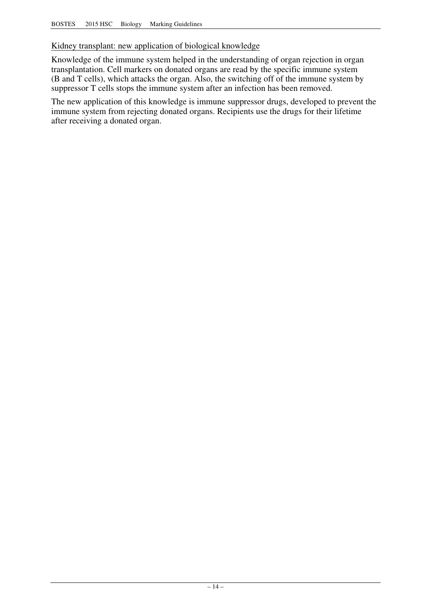### Kidney transplant: new application of biological knowledge

Knowledge of the immune system helped in the understanding of organ rejection in organ transplantation. Cell markers on donated organs are read by the specific immune system (B and T cells), which attacks the organ. Also, the switching off of the immune system by suppressor T cells stops the immune system after an infection has been removed.

The new application of this knowledge is immune suppressor drugs, developed to prevent the immune system from rejecting donated organs. Recipients use the drugs for their lifetime after receiving a donated organ.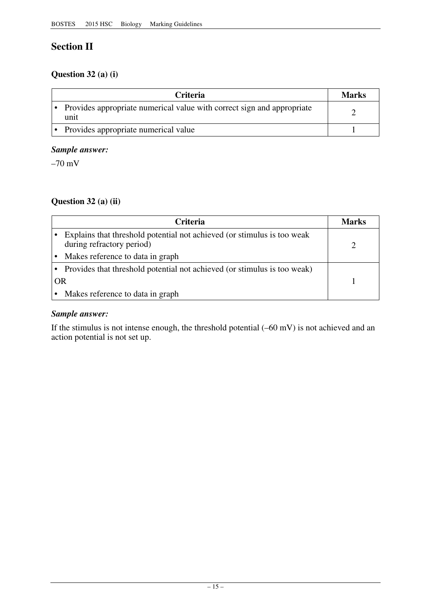# **Section II**

## **Question 32 (a) (i)**

| <b>Criteria</b>                                                                | <b>Marks</b> |
|--------------------------------------------------------------------------------|--------------|
| Provides appropriate numerical value with correct sign and appropriate<br>unit |              |
| Provides appropriate numerical value                                           |              |

## *Sample answer:*

 $-70$  mV

## **Question 32 (a) (ii)**

| <b>Criteria</b>                                                                                      | Marks |
|------------------------------------------------------------------------------------------------------|-------|
| Explains that threshold potential not achieved (or stimulus is too weak<br>during refractory period) |       |
| Makes reference to data in graph                                                                     |       |
| • Provides that threshold potential not achieved (or stimulus is too weak)                           |       |
| <b>OR</b>                                                                                            |       |
| Makes reference to data in graph                                                                     |       |

## *Sample answer:*

If the stimulus is not intense enough, the threshold potential (–60 mV) is not achieved and an action potential is not set up.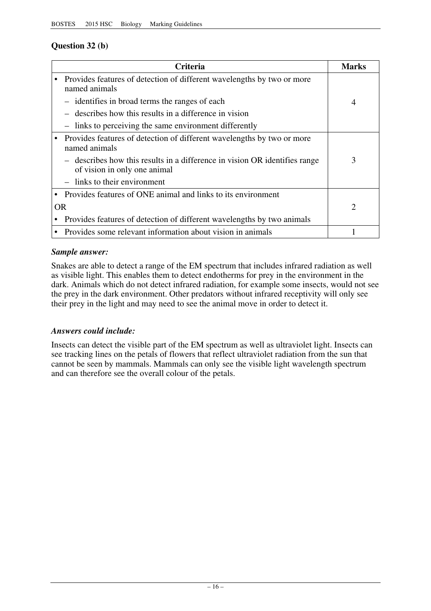## **Question 32 (b)**

|           | <b>Criteria</b>                                                                                            | <b>Marks</b>   |
|-----------|------------------------------------------------------------------------------------------------------------|----------------|
|           | Provides features of detection of different wavelengths by two or more<br>named animals                    |                |
|           | - identifies in broad terms the ranges of each                                                             | $\overline{4}$ |
|           | describes how this results in a difference in vision                                                       |                |
|           | - links to perceiving the same environment differently                                                     |                |
|           | Provides features of detection of different wavelengths by two or more<br>named animals                    |                |
|           | - describes how this results in a difference in vision OR identifies range<br>of vision in only one animal | 3              |
|           | $-$ links to their environment                                                                             |                |
|           | Provides features of ONE animal and links to its environment                                               |                |
| <b>OR</b> |                                                                                                            | $\overline{2}$ |
|           | Provides features of detection of different wavelengths by two animals                                     |                |
|           | Provides some relevant information about vision in animals                                                 |                |

### *Sample answer:*

Snakes are able to detect a range of the EM spectrum that includes infrared radiation as well as visible light. This enables them to detect endotherms for prey in the environment in the dark. Animals which do not detect infrared radiation, for example some insects, would not see the prey in the dark environment. Other predators without infrared receptivity will only see their prey in the light and may need to see the animal move in order to detect it.

#### *Answers could include:*

Insects can detect the visible part of the EM spectrum as well as ultraviolet light. Insects can see tracking lines on the petals of flowers that reflect ultraviolet radiation from the sun that cannot be seen by mammals. Mammals can only see the visible light wavelength spectrum and can therefore see the overall colour of the petals.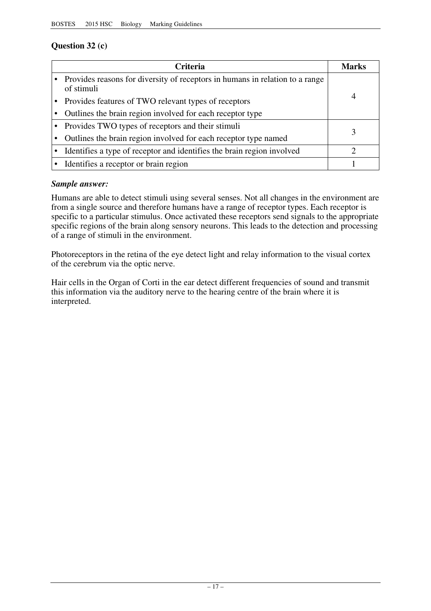## **Question 32 (c)**

| <b>Criteria</b>                                                                              | Marks |
|----------------------------------------------------------------------------------------------|-------|
| • Provides reasons for diversity of receptors in humans in relation to a range<br>of stimuli |       |
| Provides features of TWO relevant types of receptors                                         | 4     |
| Outlines the brain region involved for each receptor type                                    |       |
| • Provides TWO types of receptors and their stimuli                                          |       |
| Outlines the brain region involved for each receptor type named                              |       |
| Identifies a type of receptor and identifies the brain region involved                       |       |
| • Identifies a receptor or brain region                                                      |       |

### *Sample answer:*

Humans are able to detect stimuli using several senses. Not all changes in the environment are from a single source and therefore humans have a range of receptor types. Each receptor is specific to a particular stimulus. Once activated these receptors send signals to the appropriate specific regions of the brain along sensory neurons. This leads to the detection and processing of a range of stimuli in the environment.

Photoreceptors in the retina of the eye detect light and relay information to the visual cortex of the cerebrum via the optic nerve.

Hair cells in the Organ of Corti in the ear detect different frequencies of sound and transmit this information via the auditory nerve to the hearing centre of the brain where it is interpreted.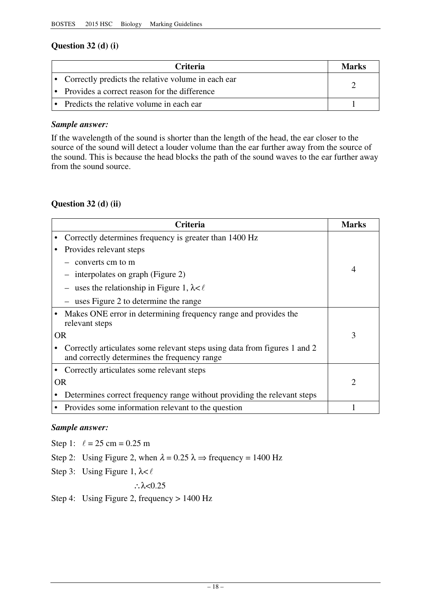## **Question 32 (d) (i)**

| <b>Criteria</b>                                      | Marks |
|------------------------------------------------------|-------|
| • Correctly predicts the relative volume in each ear |       |
| • Provides a correct reason for the difference       |       |
| • Predicts the relative volume in each ear           |       |

### *Sample answer:*

If the wavelength of the sound is shorter than the length of the head, the ear closer to the source of the sound will detect a louder volume than the ear further away from the source of the sound. This is because the head blocks the path of the sound waves to the ear further away from the sound source.

## **Question 32 (d) (ii)**

|           | <b>Criteria</b>                                                                                                           | <b>Marks</b>                |
|-----------|---------------------------------------------------------------------------------------------------------------------------|-----------------------------|
|           | Correctly determines frequency is greater than 1400 Hz                                                                    |                             |
|           | Provides relevant steps                                                                                                   |                             |
|           | converts cm to m                                                                                                          |                             |
|           | interpolates on graph (Figure 2)                                                                                          | 4                           |
|           | uses the relationship in Figure 1, $\lambda < \ell$                                                                       |                             |
|           | uses Figure 2 to determine the range                                                                                      |                             |
|           | Makes ONE error in determining frequency range and provides the<br>relevant steps                                         |                             |
|           | <b>OR</b>                                                                                                                 | 3                           |
|           | Correctly articulates some relevant steps using data from figures 1 and 2<br>and correctly determines the frequency range |                             |
|           | Correctly articulates some relevant steps                                                                                 |                             |
| <b>OR</b> |                                                                                                                           | $\mathcal{D}_{\mathcal{A}}$ |
|           | Determines correct frequency range without providing the relevant steps                                                   |                             |
|           | Provides some information relevant to the question                                                                        |                             |

### *Sample answer:*

Step 1:  $\ell = 25$  cm = 0.25 m

Step 2: Using Figure 2, when  $\lambda = 0.25 \lambda \Rightarrow$  frequency = 1400 Hz

Step 3: Using Figure 1,  $\lambda < \ell$ 

∴ $\lambda$  < 0.25

Step 4: Using Figure 2, frequency > 1400 Hz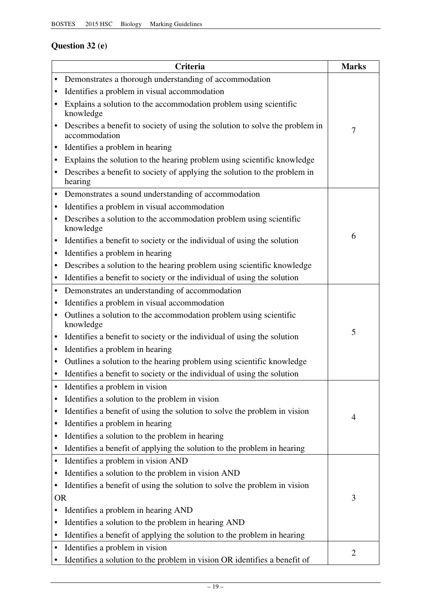## **Question 32 (e)**

|           | Criteria                                                                                      | <b>Marks</b>   |
|-----------|-----------------------------------------------------------------------------------------------|----------------|
| ٠         | Demonstrates a thorough understanding of accommodation                                        |                |
|           | Identifies a problem in visual accommodation                                                  |                |
|           | Explains a solution to the accommodation problem using scientific<br>knowledge                |                |
|           | Describes a benefit to society of using the solution to solve the problem in<br>accommodation | $\overline{7}$ |
| ٠         | Identifies a problem in hearing                                                               |                |
|           | Explains the solution to the hearing problem using scientific knowledge                       |                |
|           | Describes a benefit to society of applying the solution to the problem in<br>hearing          |                |
| ٠         | Demonstrates a sound understanding of accommodation                                           |                |
| $\bullet$ | Identifies a problem in visual accommodation                                                  |                |
| $\bullet$ | Describes a solution to the accommodation problem using scientific<br>knowledge               |                |
| ٠         | Identifies a benefit to society or the individual of using the solution                       | 6              |
| ٠         | Identifies a problem in hearing                                                               |                |
| ٠         | Describes a solution to the hearing problem using scientific knowledge                        |                |
|           | Identifies a benefit to society or the individual of using the solution                       |                |
| ٠         | Demonstrates an understanding of accommodation                                                |                |
| ٠         | Identifies a problem in visual accommodation                                                  |                |
|           | Outlines a solution to the accommodation problem using scientific<br>knowledge                |                |
| ٠         | Identifies a benefit to society or the individual of using the solution                       | 5              |
| $\bullet$ | Identifies a problem in hearing                                                               |                |
| ٠         | Outlines a solution to the hearing problem using scientific knowledge                         |                |
|           | Identifies a benefit to society or the individual of using the solution                       |                |
|           | Identifies a problem in vision                                                                |                |
| ٠         | Identifies a solution to the problem in vision                                                |                |
| ٠         | Identifies a benefit of using the solution to solve the problem in vision                     | 4              |
| ٠         | Identifies a problem in hearing                                                               |                |
| ٠         | Identifies a solution to the problem in hearing                                               |                |
| ٠         | Identifies a benefit of applying the solution to the problem in hearing                       |                |
| ٠         | Identifies a problem in vision AND                                                            |                |
|           | Identifies a solution to the problem in vision AND                                            |                |
|           | Identifies a benefit of using the solution to solve the problem in vision                     |                |
| <b>OR</b> |                                                                                               | 3              |
|           | Identifies a problem in hearing AND                                                           |                |
|           | Identifies a solution to the problem in hearing AND                                           |                |
| ٠         | Identifies a benefit of applying the solution to the problem in hearing                       |                |
|           | Identifies a problem in vision                                                                | $\overline{2}$ |
|           | Identifies a solution to the problem in vision OR identifies a benefit of                     |                |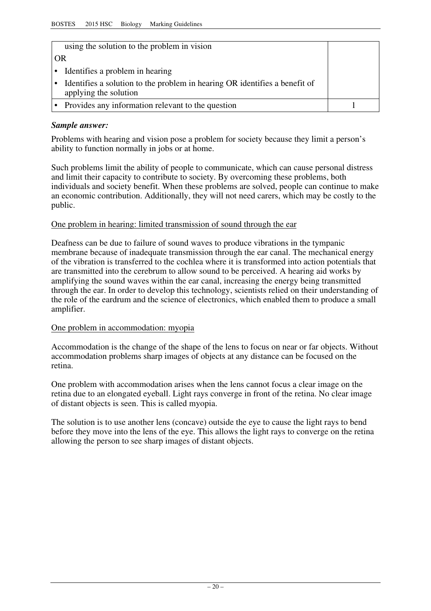| using the solution to the problem in vision                                                         |  |
|-----------------------------------------------------------------------------------------------------|--|
| OR                                                                                                  |  |
| Identifies a problem in hearing                                                                     |  |
| Identifies a solution to the problem in hearing OR identifies a benefit of<br>applying the solution |  |
| Provides any information relevant to the question                                                   |  |

### *Sample answer:*

Problems with hearing and vision pose a problem for society because they limit a person's ability to function normally in jobs or at home.

Such problems limit the ability of people to communicate, which can cause personal distress and limit their capacity to contribute to society. By overcoming these problems, both individuals and society benefit. When these problems are solved, people can continue to make an economic contribution. Additionally, they will not need carers, which may be costly to the public.

#### One problem in hearing: limited transmission of sound through the ear

Deafness can be due to failure of sound waves to produce vibrations in the tympanic membrane because of inadequate transmission through the ear canal. The mechanical energy of the vibration is transferred to the cochlea where it is transformed into action potentials that are transmitted into the cerebrum to allow sound to be perceived. A hearing aid works by amplifying the sound waves within the ear canal, increasing the energy being transmitted through the ear. In order to develop this technology, scientists relied on their understanding of the role of the eardrum and the science of electronics, which enabled them to produce a small amplifier.

#### One problem in accommodation: myopia

Accommodation is the change of the shape of the lens to focus on near or far objects. Without accommodation problems sharp images of objects at any distance can be focused on the retina.

One problem with accommodation arises when the lens cannot focus a clear image on the retina due to an elongated eyeball. Light rays converge in front of the retina. No clear image of distant objects is seen. This is called myopia.

The solution is to use another lens (concave) outside the eye to cause the light rays to bend before they move into the lens of the eye. This allows the light rays to converge on the retina allowing the person to see sharp images of distant objects.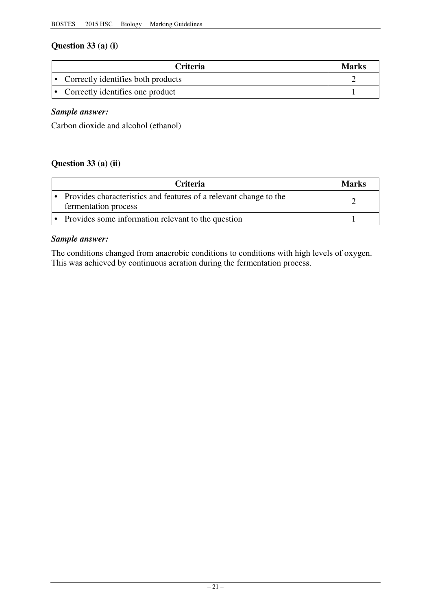## **Question 33 (a) (i)**

| <b>Criteria</b>                      | Marks |
|--------------------------------------|-------|
| • Correctly identifies both products |       |
| • Correctly identifies one product   |       |

## *Sample answer:*

Carbon dioxide and alcohol (ethanol)

## **Question 33 (a) (ii)**

| <b>Criteria</b>                                                                           | <b>Marks</b> |
|-------------------------------------------------------------------------------------------|--------------|
| Provides characteristics and features of a relevant change to the<br>fermentation process |              |
| Provides some information relevant to the question                                        |              |

### *Sample answer:*

The conditions changed from anaerobic conditions to conditions with high levels of oxygen. This was achieved by continuous aeration during the fermentation process.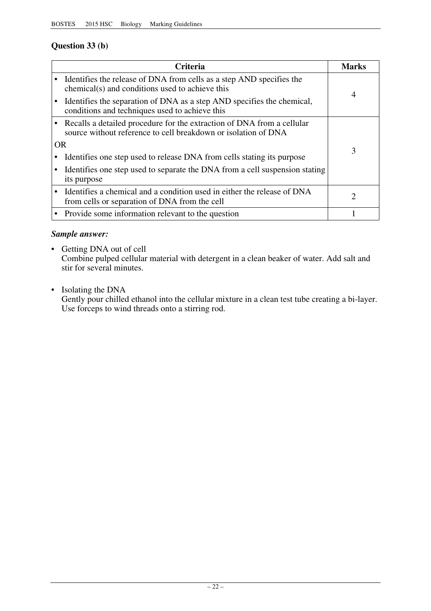## **Question 33 (b)**

|           | <b>Criteria</b>                                                                                                                          | Marks                                                                                                                                      |
|-----------|------------------------------------------------------------------------------------------------------------------------------------------|--------------------------------------------------------------------------------------------------------------------------------------------|
|           | Identifies the release of DNA from cells as a step AND specifies the<br>chemical(s) and conditions used to achieve this                  | 4                                                                                                                                          |
|           | Identifies the separation of DNA as a step AND specifies the chemical,<br>conditions and techniques used to achieve this                 |                                                                                                                                            |
|           | Recalls a detailed procedure for the extraction of DNA from a cellular<br>source without reference to cell breakdown or isolation of DNA |                                                                                                                                            |
| <b>OR</b> |                                                                                                                                          | 3                                                                                                                                          |
|           | Identifies one step used to release DNA from cells stating its purpose                                                                   |                                                                                                                                            |
|           | Identifies one step used to separate the DNA from a cell suspension stating<br>its purpose                                               |                                                                                                                                            |
|           | Identifies a chemical and a condition used in either the release of DNA<br>from cells or separation of DNA from the cell                 | $\mathcal{D}_{\mathcal{A}}^{(n)}(\mathcal{A}) = \mathcal{D}_{\mathcal{A}}^{(n)}(\mathcal{A}) \mathcal{D}_{\mathcal{A}}^{(n)}(\mathcal{A})$ |
|           | Provide some information relevant to the question                                                                                        |                                                                                                                                            |

## *Sample answer:*

• Getting DNA out of cell Combine pulped cellular material with detergent in a clean beaker of water. Add salt and stir for several minutes.

• Isolating the DNA

Gently pour chilled ethanol into the cellular mixture in a clean test tube creating a bi-layer. Use forceps to wind threads onto a stirring rod.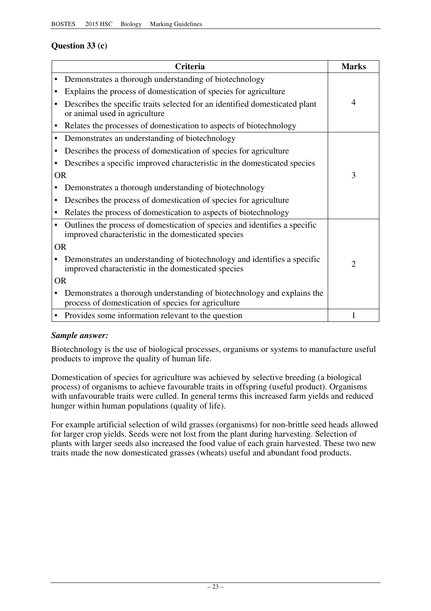## **Question 33 (c)**

|           | <b>Criteria</b>                                                                                                                   | <b>Marks</b>   |
|-----------|-----------------------------------------------------------------------------------------------------------------------------------|----------------|
|           | Demonstrates a thorough understanding of biotechnology                                                                            |                |
|           | Explains the process of domestication of species for agriculture                                                                  |                |
|           | Describes the specific traits selected for an identified domesticated plant<br>or animal used in agriculture                      | 4              |
|           | Relates the processes of domestication to aspects of biotechnology                                                                |                |
| $\bullet$ | Demonstrates an understanding of biotechnology                                                                                    |                |
|           | Describes the process of domestication of species for agriculture                                                                 |                |
|           | Describes a specific improved characteristic in the domesticated species                                                          |                |
| <b>OR</b> |                                                                                                                                   | 3              |
|           | Demonstrates a thorough understanding of biotechnology                                                                            |                |
|           | Describes the process of domestication of species for agriculture                                                                 |                |
|           | Relates the process of domestication to aspects of biotechnology                                                                  |                |
|           | Outlines the process of domestication of species and identifies a specific<br>improved characteristic in the domesticated species |                |
| <b>OR</b> |                                                                                                                                   |                |
|           | Demonstrates an understanding of biotechnology and identifies a specific<br>improved characteristic in the domesticated species   | $\overline{2}$ |
|           | <b>OR</b>                                                                                                                         |                |
|           | Demonstrates a thorough understanding of biotechnology and explains the<br>process of domestication of species for agriculture    |                |
| ٠         | Provides some information relevant to the question                                                                                | 1              |

### *Sample answer:*

Biotechnology is the use of biological processes, organisms or systems to manufacture useful products to improve the quality of human life.

Domestication of species for agriculture was achieved by selective breeding (a biological process) of organisms to achieve favourable traits in offspring (useful product). Organisms with unfavourable traits were culled. In general terms this increased farm yields and reduced hunger within human populations (quality of life).

For example artificial selection of wild grasses (organisms) for non-brittle seed heads allowed for larger crop yields. Seeds were not lost from the plant during harvesting. Selection of plants with larger seeds also increased the food value of each grain harvested. These two new traits made the now domesticated grasses (wheats) useful and abundant food products.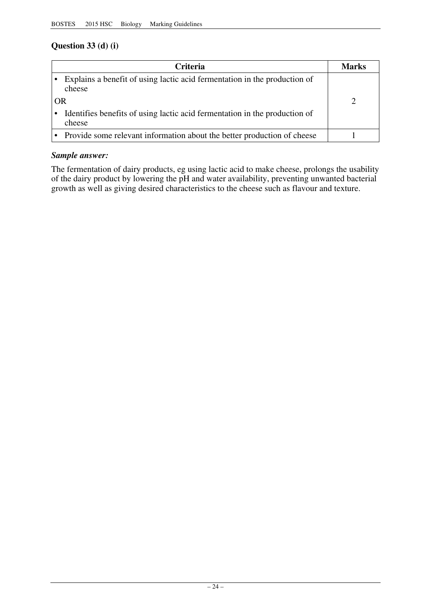## **Question 33 (d) (i)**

| <b>Criteria</b>                                                                      |  | <b>Marks</b> |
|--------------------------------------------------------------------------------------|--|--------------|
| Explains a benefit of using lactic acid fermentation in the production of<br>cheese  |  |              |
| OR                                                                                   |  |              |
| Identifies benefits of using lactic acid fermentation in the production of<br>cheese |  |              |
| • Provide some relevant information about the better production of cheese            |  |              |

## *Sample answer:*

The fermentation of dairy products, eg using lactic acid to make cheese, prolongs the usability of the dairy product by lowering the pH and water availability, preventing unwanted bacterial growth as well as giving desired characteristics to the cheese such as flavour and texture.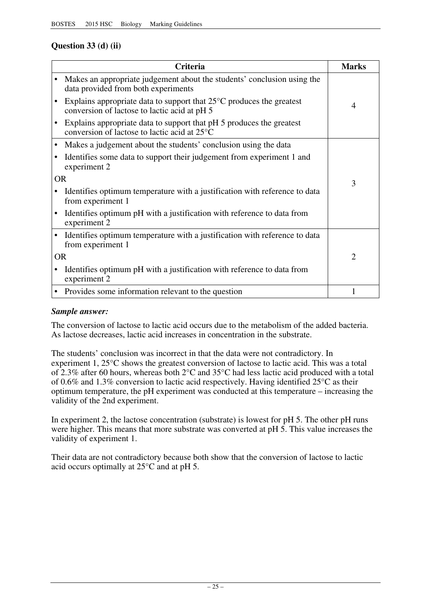## **Question 33 (d) (ii)**

|           | <b>Criteria</b>                                                                                                                | <b>Marks</b> |
|-----------|--------------------------------------------------------------------------------------------------------------------------------|--------------|
|           | Makes an appropriate judgement about the students' conclusion using the<br>data provided from both experiments                 |              |
|           | Explains appropriate data to support that $25^{\circ}$ C produces the greatest<br>conversion of lactose to lactic acid at pH 5 | 4            |
|           | Explains appropriate data to support that pH 5 produces the greatest<br>conversion of lactose to lactic acid at 25°C           |              |
|           | Makes a judgement about the students' conclusion using the data                                                                |              |
|           | Identifies some data to support their judgement from experiment 1 and<br>experiment 2                                          |              |
| <b>OR</b> |                                                                                                                                | 3            |
|           | Identifies optimum temperature with a justification with reference to data<br>from experiment 1                                |              |
|           | Identifies optimum pH with a justification with reference to data from<br>experiment 2                                         |              |
|           | Identifies optimum temperature with a justification with reference to data<br>from experiment 1                                |              |
| <b>OR</b> |                                                                                                                                | 2            |
|           | Identifies optimum pH with a justification with reference to data from<br>experiment 2                                         |              |
|           | Provides some information relevant to the question                                                                             |              |

#### *Sample answer:*

The conversion of lactose to lactic acid occurs due to the metabolism of the added bacteria. As lactose decreases, lactic acid increases in concentration in the substrate.

The students' conclusion was incorrect in that the data were not contradictory. In experiment 1, 25°C shows the greatest conversion of lactose to lactic acid. This was a total of 2.3% after 60 hours, whereas both 2°C and 35°C had less lactic acid produced with a total of 0.6% and 1.3% conversion to lactic acid respectively. Having identified 25°C as their optimum temperature, the pH experiment was conducted at this temperature – increasing the validity of the 2nd experiment.

In experiment 2, the lactose concentration (substrate) is lowest for pH 5. The other pH runs were higher. This means that more substrate was converted at pH 5. This value increases the validity of experiment 1.

Their data are not contradictory because both show that the conversion of lactose to lactic acid occurs optimally at 25°C and at pH 5.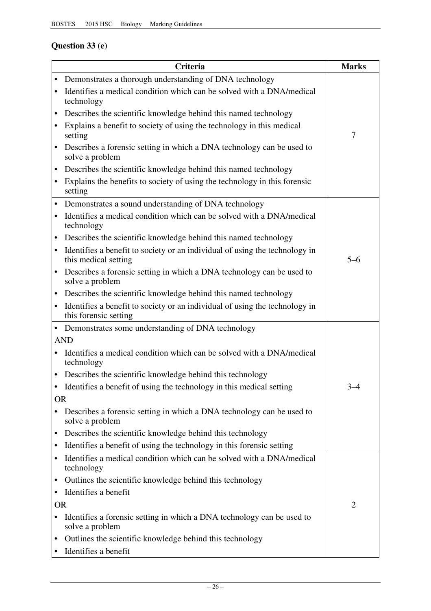## **Question 33 (e)**

|           | <b>Criteria</b>                                                                                      | <b>Marks</b> |
|-----------|------------------------------------------------------------------------------------------------------|--------------|
| ٠         | Demonstrates a thorough understanding of DNA technology                                              |              |
|           | Identifies a medical condition which can be solved with a DNA/medical<br>technology                  |              |
| ٠         | Describes the scientific knowledge behind this named technology                                      |              |
|           | Explains a benefit to society of using the technology in this medical<br>setting                     | 7            |
| ٠         | Describes a forensic setting in which a DNA technology can be used to<br>solve a problem             |              |
| ٠         | Describes the scientific knowledge behind this named technology                                      |              |
| ٠         | Explains the benefits to society of using the technology in this forensic<br>setting                 |              |
| ٠         | Demonstrates a sound understanding of DNA technology                                                 |              |
|           | Identifies a medical condition which can be solved with a DNA/medical<br>technology                  |              |
| ٠         | Describes the scientific knowledge behind this named technology                                      |              |
|           | Identifies a benefit to society or an individual of using the technology in<br>this medical setting  | $5 - 6$      |
|           | Describes a forensic setting in which a DNA technology can be used to<br>solve a problem             |              |
| ٠         | Describes the scientific knowledge behind this named technology                                      |              |
| ٠         | Identifies a benefit to society or an individual of using the technology in<br>this forensic setting |              |
|           | • Demonstrates some understanding of DNA technology                                                  |              |
|           | <b>AND</b>                                                                                           |              |
|           | Identifies a medical condition which can be solved with a DNA/medical<br>technology                  |              |
|           | Describes the scientific knowledge behind this technology                                            |              |
| ٠         | Identifies a benefit of using the technology in this medical setting                                 | $3 - 4$      |
| <b>OR</b> |                                                                                                      |              |
|           | Describes a forensic setting in which a DNA technology can be used to<br>solve a problem             |              |
| ٠         | Describes the scientific knowledge behind this technology                                            |              |
| ٠         | Identifies a benefit of using the technology in this forensic setting                                |              |
|           | Identifies a medical condition which can be solved with a DNA/medical<br>technology                  |              |
| ٠         | Outlines the scientific knowledge behind this technology                                             |              |
| ٠         | Identifies a benefit                                                                                 |              |
| <b>OR</b> |                                                                                                      | 2            |
|           | Identifies a forensic setting in which a DNA technology can be used to<br>solve a problem            |              |
| ٠         | Outlines the scientific knowledge behind this technology<br>Identifies a benefit                     |              |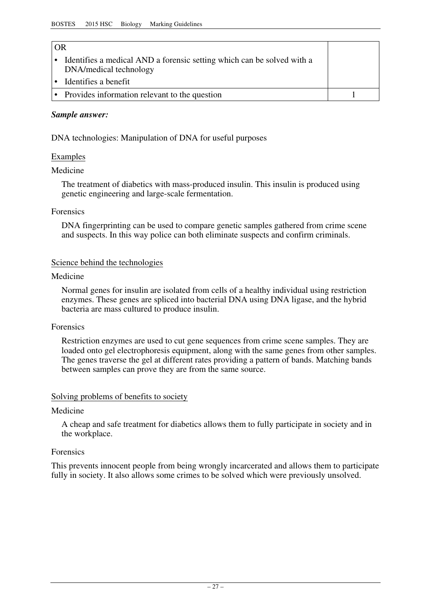## $\overline{OP}$

| $\cdots$ | Identifies a medical AND a forensic setting which can be solved with a<br>DNA/medical technology |  |
|----------|--------------------------------------------------------------------------------------------------|--|
|          | $\cdot$ Identifies a benefit                                                                     |  |
|          | • Provides information relevant to the question                                                  |  |

#### *Sample answer:*

DNA technologies: Manipulation of DNA for useful purposes

#### Examples

#### Medicine

The treatment of diabetics with mass-produced insulin. This insulin is produced using genetic engineering and large-scale fermentation.

#### Forensics

DNA fingerprinting can be used to compare genetic samples gathered from crime scene and suspects. In this way police can both eliminate suspects and confirm criminals.

#### Science behind the technologies

#### Medicine

Normal genes for insulin are isolated from cells of a healthy individual using restriction enzymes. These genes are spliced into bacterial DNA using DNA ligase, and the hybrid bacteria are mass cultured to produce insulin.

#### Forensics

Restriction enzymes are used to cut gene sequences from crime scene samples. They are loaded onto gel electrophoresis equipment, along with the same genes from other samples. The genes traverse the gel at different rates providing a pattern of bands. Matching bands between samples can prove they are from the same source.

#### Solving problems of benefits to society

#### Medicine

A cheap and safe treatment for diabetics allows them to fully participate in society and in the workplace.

#### Forensics

This prevents innocent people from being wrongly incarcerated and allows them to participate fully in society. It also allows some crimes to be solved which were previously unsolved.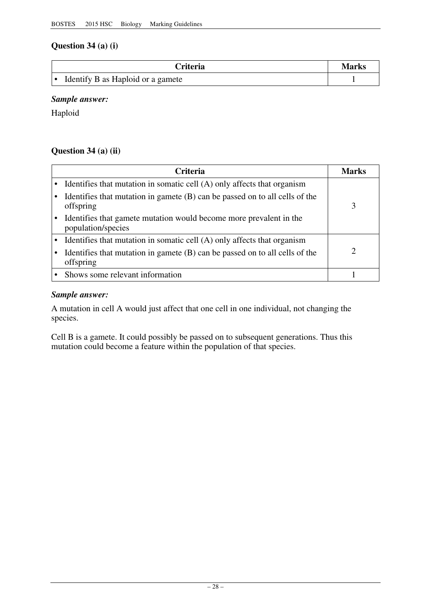## **Question 34 (a) (i)**

| <b>Triteria</b>                   | Marks |
|-----------------------------------|-------|
| Identify B as Haploid or a gamete |       |

## *Sample answer:*

Haploid

## **Question 34 (a) (ii)**

| Criteria                                                                                   | Marks |
|--------------------------------------------------------------------------------------------|-------|
| • Identifies that mutation in somatic cell (A) only affects that organism                  |       |
| Identifies that mutation in gamete $(B)$ can be passed on to all cells of the<br>offspring | 3     |
| Identifies that gamete mutation would become more prevalent in the<br>population/species   |       |
| Identifies that mutation in somatic cell (A) only affects that organism                    |       |
| Identifies that mutation in gamete $(B)$ can be passed on to all cells of the<br>offspring | ာ     |
| Shows some relevant information                                                            |       |

### *Sample answer:*

A mutation in cell A would just affect that one cell in one individual, not changing the species.

Cell B is a gamete. It could possibly be passed on to subsequent generations. Thus this mutation could become a feature within the population of that species.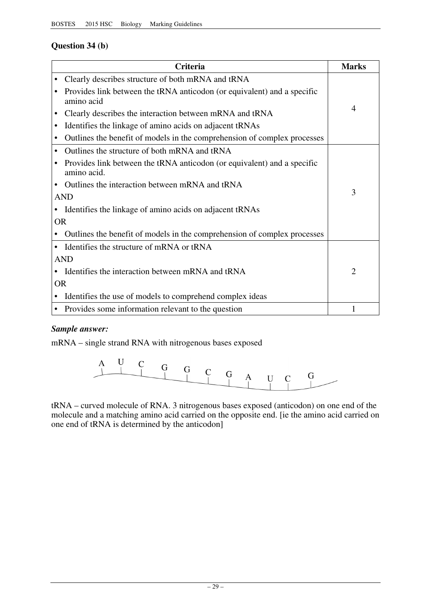## **Question 34 (b)**

|            | <b>Criteria</b>                                                                        | <b>Marks</b>   |
|------------|----------------------------------------------------------------------------------------|----------------|
|            | Clearly describes structure of both mRNA and tRNA                                      |                |
|            | Provides link between the tRNA anticodon (or equivalent) and a specific<br>amino acid  |                |
|            | Clearly describes the interaction between mRNA and tRNA                                | $\overline{4}$ |
|            | Identifies the linkage of amino acids on adjacent tRNAs                                |                |
|            | Outlines the benefit of models in the comprehension of complex processes               |                |
| $\bullet$  | Outlines the structure of both mRNA and tRNA                                           |                |
|            | Provides link between the tRNA anticodon (or equivalent) and a specific<br>amino acid. |                |
|            | Outlines the interaction between mRNA and tRNA                                         |                |
| <b>AND</b> |                                                                                        | 3              |
|            | Identifies the linkage of amino acids on adjacent tRNAs                                |                |
| <b>OR</b>  |                                                                                        |                |
|            | Outlines the benefit of models in the comprehension of complex processes               |                |
| $\bullet$  | Identifies the structure of mRNA or tRNA                                               |                |
|            | <b>AND</b>                                                                             |                |
|            | Identifies the interaction between mRNA and tRNA                                       | $\overline{2}$ |
| <b>OR</b>  |                                                                                        |                |
|            | Identifies the use of models to comprehend complex ideas                               |                |
| ٠          | Provides some information relevant to the question                                     | 1              |

### *Sample answer:*

mRNA – single strand RNA with nitrogenous bases exposed



tRNA – curved molecule of RNA. 3 nitrogenous bases exposed (anticodon) on one end of the molecule and a matching amino acid carried on the opposite end. [ie the amino acid carried on one end of tRNA is determined by the anticodon]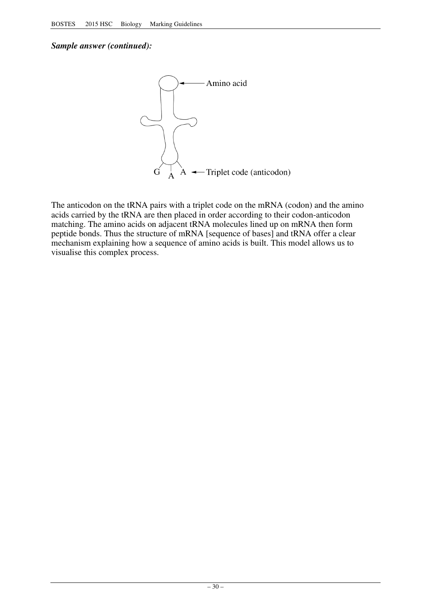### *Sample answer (continued):*



The anticodon on the tRNA pairs with a triplet code on the mRNA (codon) and the amino acids carried by the tRNA are then placed in order according to their codon-anticodon matching. The amino acids on adjacent tRNA molecules lined up on mRNA then form peptide bonds. Thus the structure of mRNA [sequence of bases] and tRNA offer a clear mechanism explaining how a sequence of amino acids is built. This model allows us to visualise this complex process.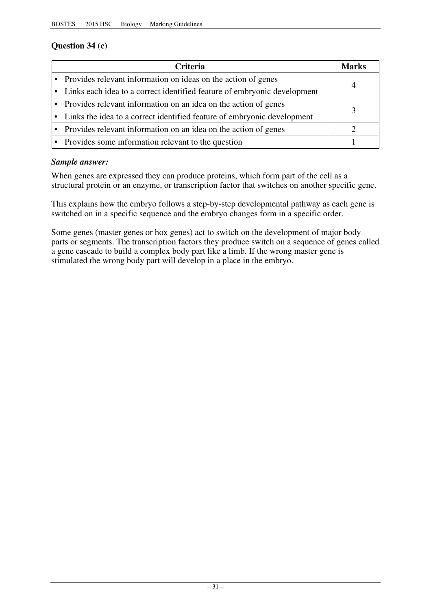## **Question 34 (c)**

| <b>Criteria</b>                                                            | Marks |
|----------------------------------------------------------------------------|-------|
| • Provides relevant information on ideas on the action of genes            |       |
| • Links each idea to a correct identified feature of embryonic development | 4     |
| • Provides relevant information on an idea on the action of genes          |       |
| • Links the idea to a correct identified feature of embryonic development  |       |
| • Provides relevant information on an idea on the action of genes          |       |
| • Provides some information relevant to the question                       |       |

### *Sample answer:*

When genes are expressed they can produce proteins, which form part of the cell as a structural protein or an enzyme, or transcription factor that switches on another specific gene.

This explains how the embryo follows a step-by-step developmental pathway as each gene is switched on in a specific sequence and the embryo changes form in a specific order.

Some genes (master genes or hox genes) act to switch on the development of major body parts or segments. The transcription factors they produce switch on a sequence of genes called a gene cascade to build a complex body part like a limb. If the wrong master gene is stimulated the wrong body part will develop in a place in the embryo.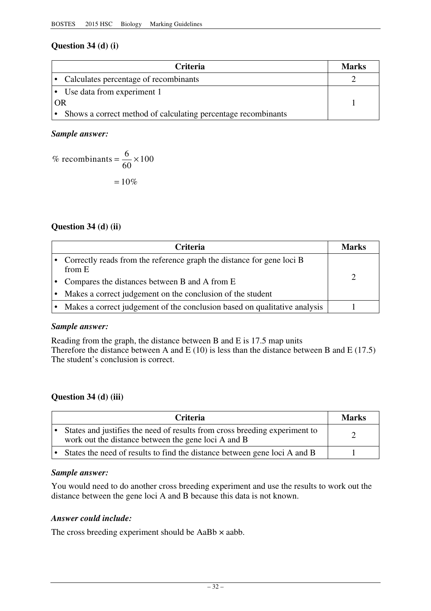## **Question 34 (d) (i)**

|    | <b>Criteria</b>                                                 | <b>Marks</b> |
|----|-----------------------------------------------------------------|--------------|
|    | • Calculates percentage of recombinants                         |              |
|    | • Use data from experiment 1                                    |              |
| OR |                                                                 |              |
|    | • Shows a correct method of calculating percentage recombinants |              |

#### *Sample answer:*

% recombinants = 
$$
\frac{6}{60} \times 100
$$
  
= 10%

### **Question 34 (d) (ii)**

| <b>Criteria</b>                                                                 | Marks |
|---------------------------------------------------------------------------------|-------|
| Correctly reads from the reference graph the distance for gene loci B<br>from E |       |
| Compares the distances between B and A from E                                   |       |
| Makes a correct judgement on the conclusion of the student                      |       |
| Makes a correct judgement of the conclusion based on qualitative analysis       |       |

#### *Sample answer:*

Reading from the graph, the distance between B and E is 17.5 map units Therefore the distance between A and E (10) is less than the distance between B and E (17.5) The student's conclusion is correct.

### **Question 34 (d) (iii)**

| <b>Criteria</b>                                                                                                                   | Marks |
|-----------------------------------------------------------------------------------------------------------------------------------|-------|
| States and justifies the need of results from cross breeding experiment to<br>work out the distance between the gene loci A and B |       |
| States the need of results to find the distance between gene loci A and B                                                         |       |

### *Sample answer:*

You would need to do another cross breeding experiment and use the results to work out the distance between the gene loci A and B because this data is not known.

#### *Answer could include:*

The cross breeding experiment should be  $AaBb \times aabb$ .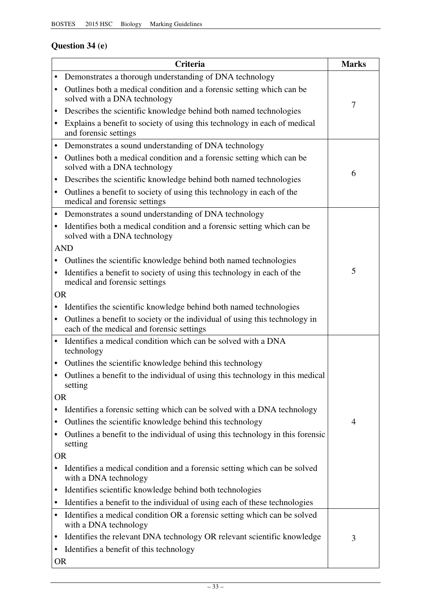## **Question 34 (e)**

|           | Criteria                                                                                                                 | <b>Marks</b> |
|-----------|--------------------------------------------------------------------------------------------------------------------------|--------------|
| ٠         | Demonstrates a thorough understanding of DNA technology                                                                  |              |
|           | Outlines both a medical condition and a forensic setting which can be<br>solved with a DNA technology                    |              |
| $\bullet$ | Describes the scientific knowledge behind both named technologies                                                        | 7            |
| $\bullet$ | Explains a benefit to society of using this technology in each of medical<br>and forensic settings                       |              |
| $\bullet$ | Demonstrates a sound understanding of DNA technology                                                                     |              |
|           | Outlines both a medical condition and a forensic setting which can be<br>solved with a DNA technology                    | 6            |
| ٠         | Describes the scientific knowledge behind both named technologies                                                        |              |
| $\bullet$ | Outlines a benefit to society of using this technology in each of the<br>medical and forensic settings                   |              |
| $\bullet$ | Demonstrates a sound understanding of DNA technology                                                                     |              |
|           | Identifies both a medical condition and a forensic setting which can be<br>solved with a DNA technology                  |              |
|           | <b>AND</b>                                                                                                               |              |
|           | Outlines the scientific knowledge behind both named technologies                                                         |              |
| $\bullet$ | Identifies a benefit to society of using this technology in each of the<br>medical and forensic settings                 | 5            |
| <b>OR</b> |                                                                                                                          |              |
|           | Identifies the scientific knowledge behind both named technologies                                                       |              |
| $\bullet$ | Outlines a benefit to society or the individual of using this technology in<br>each of the medical and forensic settings |              |
| $\bullet$ | Identifies a medical condition which can be solved with a DNA<br>technology                                              |              |
|           | Outlines the scientific knowledge behind this technology                                                                 |              |
|           | Outlines a benefit to the individual of using this technology in this medical<br>setting                                 |              |
| <b>OR</b> |                                                                                                                          |              |
|           | Identifies a forensic setting which can be solved with a DNA technology                                                  |              |
| ٠         | Outlines the scientific knowledge behind this technology                                                                 | 4            |
|           | Outlines a benefit to the individual of using this technology in this forensic<br>setting                                |              |
| <b>OR</b> |                                                                                                                          |              |
|           | Identifies a medical condition and a forensic setting which can be solved<br>with a DNA technology                       |              |
| ٠         | Identifies scientific knowledge behind both technologies                                                                 |              |
| ٠         | Identifies a benefit to the individual of using each of these technologies                                               |              |
| $\bullet$ | Identifies a medical condition OR a forensic setting which can be solved<br>with a DNA technology                        |              |
| $\bullet$ | Identifies the relevant DNA technology OR relevant scientific knowledge                                                  | 3            |
| ٠         | Identifies a benefit of this technology                                                                                  |              |
| <b>OR</b> |                                                                                                                          |              |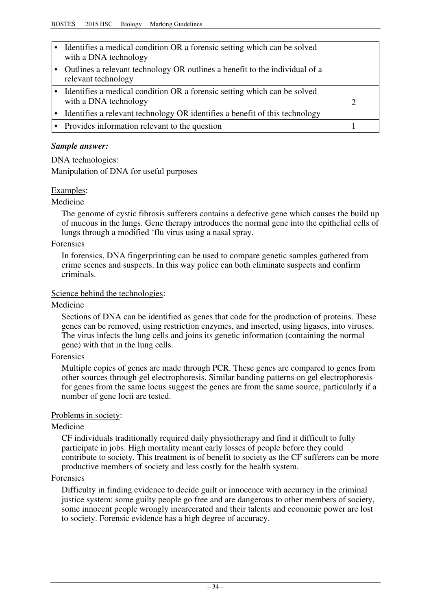| Identifies a medical condition OR a forensic setting which can be solved<br>with a DNA technology  |  |
|----------------------------------------------------------------------------------------------------|--|
| Outlines a relevant technology OR outlines a benefit to the individual of a<br>relevant technology |  |
| Identifies a medical condition OR a forensic setting which can be solved<br>with a DNA technology  |  |
| Identifies a relevant technology OR identifies a benefit of this technology                        |  |
| • Provides information relevant to the question                                                    |  |

#### *Sample answer:*

DNA technologies:

Manipulation of DNA for useful purposes

#### Examples:

#### Medicine

The genome of cystic fibrosis sufferers contains a defective gene which causes the build up of mucous in the lungs. Gene therapy introduces the normal gene into the epithelial cells of lungs through a modified 'flu virus using a nasal spray.

#### Forensics

In forensics, DNA fingerprinting can be used to compare genetic samples gathered from crime scenes and suspects. In this way police can both eliminate suspects and confirm criminals.

#### Science behind the technologies:

#### Medicine

Sections of DNA can be identified as genes that code for the production of proteins. These genes can be removed, using restriction enzymes, and inserted, using ligases, into viruses. The virus infects the lung cells and joins its genetic information (containing the normal gene) with that in the lung cells.

#### Forensics

Multiple copies of genes are made through PCR. These genes are compared to genes from other sources through gel electrophoresis. Similar banding patterns on gel electrophoresis for genes from the same locus suggest the genes are from the same source, particularly if a number of gene locii are tested.

#### Problems in society:

#### Medicine

CF individuals traditionally required daily physiotherapy and find it difficult to fully participate in jobs. High mortality meant early losses of people before they could contribute to society. This treatment is of benefit to society as the CF sufferers can be more productive members of society and less costly for the health system.

#### Forensics

Difficulty in finding evidence to decide guilt or innocence with accuracy in the criminal justice system: some guilty people go free and are dangerous to other members of society, some innocent people wrongly incarcerated and their talents and economic power are lost to society. Forensic evidence has a high degree of accuracy.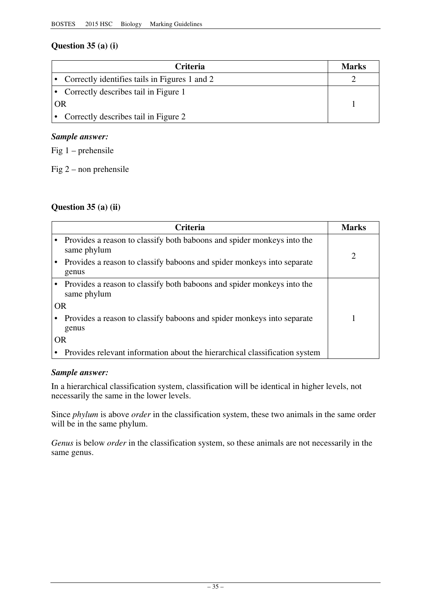## **Question 35 (a) (i)**

| <b>Criteria</b>                                 | <b>Marks</b> |
|-------------------------------------------------|--------------|
| • Correctly identifies tails in Figures 1 and 2 |              |
| • Correctly describes tail in Figure 1          |              |
| OR                                              |              |
| • Correctly describes tail in Figure 2          |              |

### *Sample answer:*

Fig 1 – prehensile

Fig  $2$  – non prehensile

## **Question 35 (a) (ii)**

|           | Criteria                                                                              | <b>Marks</b> |
|-----------|---------------------------------------------------------------------------------------|--------------|
|           | Provides a reason to classify both baboons and spider monkeys into the<br>same phylum | 2            |
|           | Provides a reason to classify baboons and spider monkeys into separate<br>genus       |              |
|           | Provides a reason to classify both baboons and spider monkeys into the<br>same phylum |              |
|           | <b>OR</b>                                                                             |              |
|           | Provides a reason to classify baboons and spider monkeys into separate<br>genus       |              |
| <b>OR</b> |                                                                                       |              |
|           | Provides relevant information about the hierarchical classification system            |              |

### *Sample answer:*

In a hierarchical classification system, classification will be identical in higher levels, not necessarily the same in the lower levels.

Since *phylum* is above *order* in the classification system, these two animals in the same order will be in the same phylum.

*Genus* is below *order* in the classification system, so these animals are not necessarily in the same genus.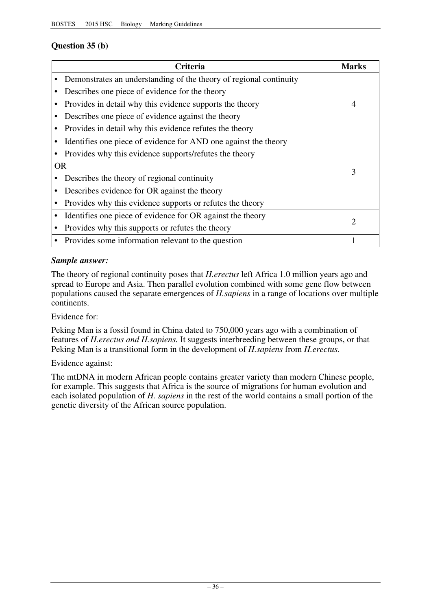## **Question 35 (b)**

|           | <b>Criteria</b>                                                    | Marks          |
|-----------|--------------------------------------------------------------------|----------------|
|           | Demonstrates an understanding of the theory of regional continuity |                |
|           | Describes one piece of evidence for the theory                     |                |
|           | Provides in detail why this evidence supports the theory           | $\overline{4}$ |
|           | Describes one piece of evidence against the theory                 |                |
|           | Provides in detail why this evidence refutes the theory            |                |
|           | Identifies one piece of evidence for AND one against the theory    |                |
|           | Provides why this evidence supports/refutes the theory             |                |
| <b>OR</b> |                                                                    | 3              |
|           | Describes the theory of regional continuity                        |                |
|           | Describes evidence for OR against the theory                       |                |
|           | Provides why this evidence supports or refutes the theory          |                |
|           | Identifies one piece of evidence for OR against the theory         |                |
|           | Provides why this supports or refutes the theory                   |                |
|           | Provides some information relevant to the question                 |                |

### *Sample answer:*

The theory of regional continuity poses that *H.erectus* left Africa 1.0 million years ago and spread to Europe and Asia. Then parallel evolution combined with some gene flow between populations caused the separate emergences of *H.sapiens* in a range of locations over multiple continents.

Evidence for:

Peking Man is a fossil found in China dated to 750,000 years ago with a combination of features of *H.erectus and H.sapiens.* It suggests interbreeding between these groups, or that Peking Man is a transitional form in the development of *H.sapiens* from *H.erectus.* 

#### Evidence against:

The mtDNA in modern African people contains greater variety than modern Chinese people, for example. This suggests that Africa is the source of migrations for human evolution and each isolated population of *H. sapiens* in the rest of the world contains a small portion of the genetic diversity of the African source population.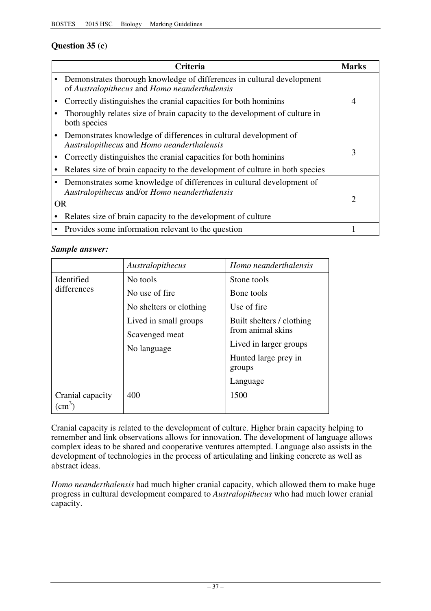## **Question 35 (c)**

| Criteria                                                                                                                | Marks                 |
|-------------------------------------------------------------------------------------------------------------------------|-----------------------|
| Demonstrates thorough knowledge of differences in cultural development<br>of Australopithecus and Homo neanderthalensis |                       |
| Correctly distinguishes the cranial capacities for both hominins                                                        | $\overline{4}$        |
| Thoroughly relates size of brain capacity to the development of culture in<br>both species                              |                       |
| Demonstrates knowledge of differences in cultural development of<br>Australopithecus and Homo neanderthalensis          |                       |
| Correctly distinguishes the cranial capacities for both homining                                                        | 3                     |
| Relates size of brain capacity to the development of culture in both species                                            |                       |
| Demonstrates some knowledge of differences in cultural development of<br>Australopithecus and/or Homo neanderthalensis  |                       |
| <b>OR</b>                                                                                                               | $\mathcal{D}_{\cdot}$ |
| Relates size of brain capacity to the development of culture                                                            |                       |
| Provides some information relevant to the question                                                                      |                       |

### *Sample answer:*

|                                  | Australopithecus        | Homo neanderthalensis          |
|----------------------------------|-------------------------|--------------------------------|
| Identified<br>differences        | No tools                | Stone tools                    |
|                                  | No use of fire          | Bone tools                     |
|                                  | No shelters or clothing | Use of fire                    |
|                                  | Lived in small groups   | Built shelters / clothing      |
|                                  | Scavenged meat          | from animal skins              |
|                                  | No language             | Lived in larger groups         |
|                                  |                         | Hunted large prey in<br>groups |
|                                  |                         | Language                       |
| Cranial capacity<br>$\rm cm^{3}$ | 400                     | 1500                           |

Cranial capacity is related to the development of culture. Higher brain capacity helping to remember and link observations allows for innovation. The development of language allows complex ideas to be shared and cooperative ventures attempted. Language also assists in the development of technologies in the process of articulating and linking concrete as well as abstract ideas.

*Homo neanderthalensis* had much higher cranial capacity, which allowed them to make huge progress in cultural development compared to *Australopithecus* who had much lower cranial capacity.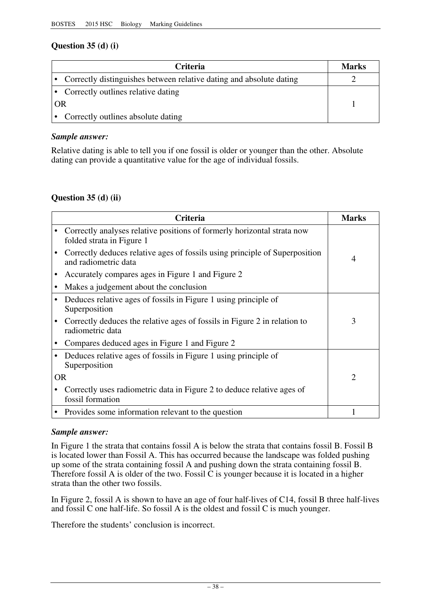## **Question 35 (d) (i)**

| Criteria                                                              | <b>Marks</b> |
|-----------------------------------------------------------------------|--------------|
| • Correctly distinguishes between relative dating and absolute dating |              |
| • Correctly outlines relative dating                                  |              |
| OR                                                                    |              |
| Correctly outlines absolute dating                                    |              |

### *Sample answer:*

Relative dating is able to tell you if one fossil is older or younger than the other. Absolute dating can provide a quantitative value for the age of individual fossils.

## **Question 35 (d) (ii)**

|   | Criteria                                                                                             | <b>Marks</b>   |
|---|------------------------------------------------------------------------------------------------------|----------------|
|   | Correctly analyses relative positions of formerly horizontal strata now<br>folded strata in Figure 1 |                |
|   | Correctly deduces relative ages of fossils using principle of Superposition<br>and radiometric data  | 4              |
|   | Accurately compares ages in Figure 1 and Figure 2                                                    |                |
|   | Makes a judgement about the conclusion                                                               |                |
|   | Deduces relative ages of fossils in Figure 1 using principle of<br>Superposition                     |                |
|   | Correctly deduces the relative ages of fossils in Figure 2 in relation to<br>radiometric data        | 3              |
|   | Compares deduced ages in Figure 1 and Figure 2                                                       |                |
| ٠ | Deduces relative ages of fossils in Figure 1 using principle of<br>Superposition                     |                |
|   | <b>OR</b>                                                                                            | $\overline{2}$ |
|   | Correctly uses radiometric data in Figure 2 to deduce relative ages of<br>fossil formation           |                |
|   | • Provides some information relevant to the question                                                 |                |

#### *Sample answer:*

In Figure 1 the strata that contains fossil A is below the strata that contains fossil B. Fossil B is located lower than Fossil A. This has occurred because the landscape was folded pushing up some of the strata containing fossil A and pushing down the strata containing fossil B. Therefore fossil A is older of the two. Fossil  $\overline{C}$  is younger because it is located in a higher strata than the other two fossils.

In Figure 2, fossil A is shown to have an age of four half-lives of C14, fossil B three half-lives and fossil C one half-life. So fossil A is the oldest and fossil C is much younger.

Therefore the students' conclusion is incorrect.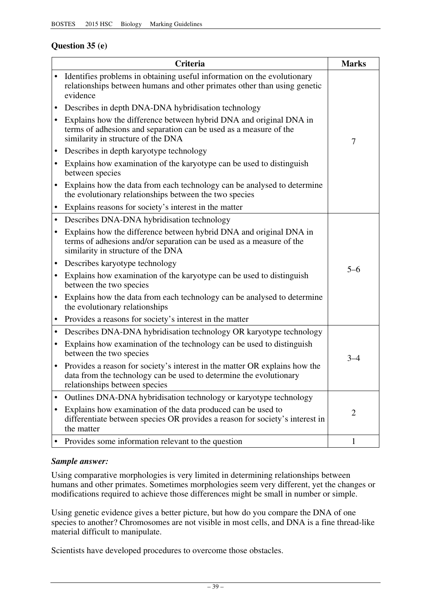## **Question 35 (e)**

|           | Criteria                                                                                                                                                                          | <b>Marks</b>   |
|-----------|-----------------------------------------------------------------------------------------------------------------------------------------------------------------------------------|----------------|
|           | Identifies problems in obtaining useful information on the evolutionary<br>relationships between humans and other primates other than using genetic<br>evidence                   |                |
| ٠         | Describes in depth DNA-DNA hybridisation technology                                                                                                                               | 7              |
| $\bullet$ | Explains how the difference between hybrid DNA and original DNA in<br>terms of adhesions and separation can be used as a measure of the<br>similarity in structure of the DNA     |                |
| ٠         | Describes in depth karyotype technology                                                                                                                                           |                |
| $\bullet$ | Explains how examination of the karyotype can be used to distinguish<br>between species                                                                                           |                |
| $\bullet$ | Explains how the data from each technology can be analysed to determine<br>the evolutionary relationships between the two species                                                 |                |
| ٠         | Explains reasons for society's interest in the matter                                                                                                                             |                |
| $\bullet$ | Describes DNA-DNA hybridisation technology                                                                                                                                        |                |
| ٠         | Explains how the difference between hybrid DNA and original DNA in<br>terms of adhesions and/or separation can be used as a measure of the<br>similarity in structure of the DNA  |                |
| $\bullet$ | Describes karyotype technology                                                                                                                                                    |                |
| ٠         | Explains how examination of the karyotype can be used to distinguish<br>between the two species                                                                                   | $5 - 6$        |
| $\bullet$ | Explains how the data from each technology can be analysed to determine<br>the evolutionary relationships                                                                         |                |
| $\bullet$ | Provides a reasons for society's interest in the matter                                                                                                                           |                |
| $\bullet$ | Describes DNA-DNA hybridisation technology OR karyotype technology                                                                                                                |                |
| ٠         | Explains how examination of the technology can be used to distinguish<br>between the two species                                                                                  | $3 - 4$        |
|           | Provides a reason for society's interest in the matter OR explains how the<br>data from the technology can be used to determine the evolutionary<br>relationships between species |                |
|           | Outlines DNA-DNA hybridisation technology or karyotype technology                                                                                                                 |                |
|           | Explains how examination of the data produced can be used to<br>differentiate between species OR provides a reason for society's interest in<br>the matter                        | $\overline{2}$ |
|           | Provides some information relevant to the question                                                                                                                                | 1              |

### *Sample answer:*

Using comparative morphologies is very limited in determining relationships between humans and other primates. Sometimes morphologies seem very different, yet the changes or modifications required to achieve those differences might be small in number or simple.

Using genetic evidence gives a better picture, but how do you compare the DNA of one species to another? Chromosomes are not visible in most cells, and DNA is a fine thread-like material difficult to manipulate.

Scientists have developed procedures to overcome those obstacles.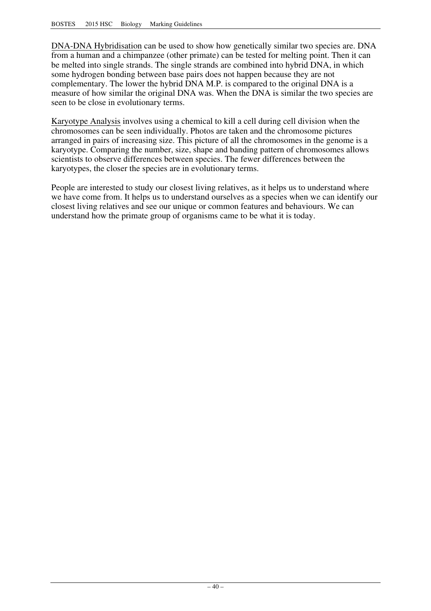DNA-DNA Hybridisation can be used to show how genetically similar two species are. DNA from a human and a chimpanzee (other primate) can be tested for melting point. Then it can be melted into single strands. The single strands are combined into hybrid DNA, in which some hydrogen bonding between base pairs does not happen because they are not complementary. The lower the hybrid DNA M.P. is compared to the original DNA is a measure of how similar the original DNA was. When the DNA is similar the two species are seen to be close in evolutionary terms.

Karyotype Analysis involves using a chemical to kill a cell during cell division when the chromosomes can be seen individually. Photos are taken and the chromosome pictures arranged in pairs of increasing size. This picture of all the chromosomes in the genome is a karyotype. Comparing the number, size, shape and banding pattern of chromosomes allows scientists to observe differences between species. The fewer differences between the karyotypes, the closer the species are in evolutionary terms.

People are interested to study our closest living relatives, as it helps us to understand where we have come from. It helps us to understand ourselves as a species when we can identify our closest living relatives and see our unique or common features and behaviours. We can understand how the primate group of organisms came to be what it is today.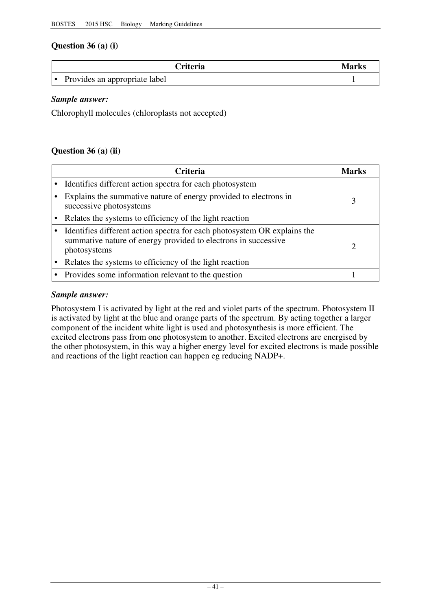## **Question 36 (a) (i)**

| <b>Criteria</b>               | Marks |
|-------------------------------|-------|
| Provides an appropriate label |       |

*Sample answer:* 

Chlorophyll molecules (chloroplasts not accepted)

### **Question 36 (a) (ii)**

| <b>Criteria</b>                                                                                                                                            | Marks |
|------------------------------------------------------------------------------------------------------------------------------------------------------------|-------|
| Identifies different action spectra for each photosystem                                                                                                   |       |
| Explains the summative nature of energy provided to electrons in<br>successive photosystems                                                                |       |
| Relates the systems to efficiency of the light reaction                                                                                                    |       |
| Identifies different action spectra for each photosystem OR explains the<br>summative nature of energy provided to electrons in successive<br>photosystems |       |
| Relates the systems to efficiency of the light reaction                                                                                                    |       |
| Provides some information relevant to the question                                                                                                         |       |

### *Sample answer:*

Photosystem I is activated by light at the red and violet parts of the spectrum. Photosystem II is activated by light at the blue and orange parts of the spectrum. By acting together a larger component of the incident white light is used and photosynthesis is more efficient. The excited electrons pass from one photosystem to another. Excited electrons are energised by the other photosystem, in this way a higher energy level for excited electrons is made possible and reactions of the light reaction can happen eg reducing NADP+.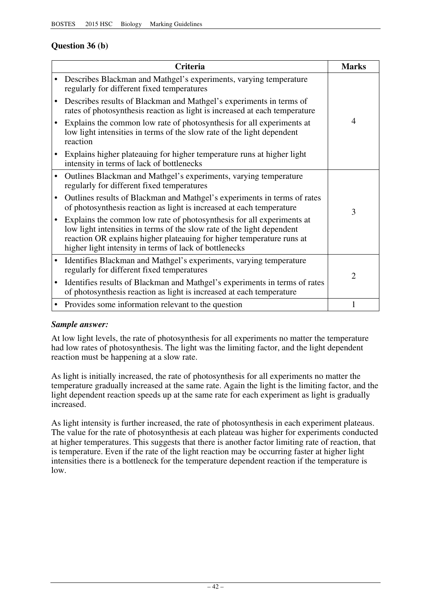## **Question 36 (b)**

|           | <b>Criteria</b>                                                                                                                                                                                                                                                                    | <b>Marks</b>   |
|-----------|------------------------------------------------------------------------------------------------------------------------------------------------------------------------------------------------------------------------------------------------------------------------------------|----------------|
|           | Describes Blackman and Mathgel's experiments, varying temperature<br>regularly for different fixed temperatures                                                                                                                                                                    |                |
| $\bullet$ | Describes results of Blackman and Mathgel's experiments in terms of<br>rates of photosynthesis reaction as light is increased at each temperature                                                                                                                                  |                |
|           | Explains the common low rate of photosynthesis for all experiments at<br>low light intensities in terms of the slow rate of the light dependent<br>reaction                                                                                                                        | 4              |
|           | Explains higher plateauing for higher temperature runs at higher light<br>intensity in terms of lack of bottlenecks                                                                                                                                                                |                |
| $\bullet$ | Outlines Blackman and Mathgel's experiments, varying temperature<br>regularly for different fixed temperatures                                                                                                                                                                     |                |
| $\bullet$ | Outlines results of Blackman and Mathgel's experiments in terms of rates<br>of photosynthesis reaction as light is increased at each temperature                                                                                                                                   | 3              |
| $\bullet$ | Explains the common low rate of photosynthesis for all experiments at<br>low light intensities in terms of the slow rate of the light dependent<br>reaction OR explains higher plateauing for higher temperature runs at<br>higher light intensity in terms of lack of bottlenecks |                |
| $\bullet$ | Identifies Blackman and Mathgel's experiments, varying temperature<br>regularly for different fixed temperatures                                                                                                                                                                   | $\overline{2}$ |
| $\bullet$ | Identifies results of Blackman and Mathgel's experiments in terms of rates<br>of photosynthesis reaction as light is increased at each temperature                                                                                                                                 |                |
| $\bullet$ | Provides some information relevant to the question                                                                                                                                                                                                                                 |                |

### *Sample answer:*

At low light levels, the rate of photosynthesis for all experiments no matter the temperature had low rates of photosynthesis. The light was the limiting factor, and the light dependent reaction must be happening at a slow rate.

As light is initially increased, the rate of photosynthesis for all experiments no matter the temperature gradually increased at the same rate. Again the light is the limiting factor, and the light dependent reaction speeds up at the same rate for each experiment as light is gradually increased.

As light intensity is further increased, the rate of photosynthesis in each experiment plateaus. The value for the rate of photosynthesis at each plateau was higher for experiments conducted at higher temperatures. This suggests that there is another factor limiting rate of reaction, that is temperature. Even if the rate of the light reaction may be occurring faster at higher light intensities there is a bottleneck for the temperature dependent reaction if the temperature is low.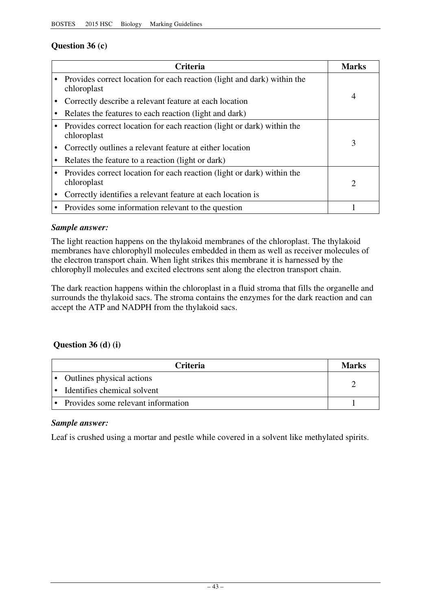## **Question 36 (c)**

|           | <b>Criteria</b>                                                                        | Marks                       |
|-----------|----------------------------------------------------------------------------------------|-----------------------------|
|           | Provides correct location for each reaction (light and dark) within the<br>chloroplast |                             |
|           | Correctly describe a relevant feature at each location                                 | 4                           |
|           | Relates the features to each reaction (light and dark)                                 |                             |
|           | Provides correct location for each reaction (light or dark) within the<br>chloroplast  |                             |
|           | Correctly outlines a relevant feature at either location                               | 3                           |
|           | Relates the feature to a reaction (light or dark)                                      |                             |
| $\bullet$ | Provides correct location for each reaction (light or dark) within the<br>chloroplast  | $\mathcal{D}_{\mathcal{L}}$ |
|           | Correctly identifies a relevant feature at each location is                            |                             |
|           | Provides some information relevant to the question                                     |                             |

### *Sample answer:*

The light reaction happens on the thylakoid membranes of the chloroplast. The thylakoid membranes have chlorophyll molecules embedded in them as well as receiver molecules of the electron transport chain. When light strikes this membrane it is harnessed by the chlorophyll molecules and excited electrons sent along the electron transport chain.

The dark reaction happens within the chloroplast in a fluid stroma that fills the organelle and surrounds the thylakoid sacs. The stroma contains the enzymes for the dark reaction and can accept the ATP and NADPH from the thylakoid sacs.

## **Question 36 (d) (i)**

| <b>Criteria</b>                    | <b>Marks</b> |
|------------------------------------|--------------|
| • Outlines physical actions        |              |
| Identifies chemical solvent        |              |
| Provides some relevant information |              |

#### *Sample answer:*

Leaf is crushed using a mortar and pestle while covered in a solvent like methylated spirits.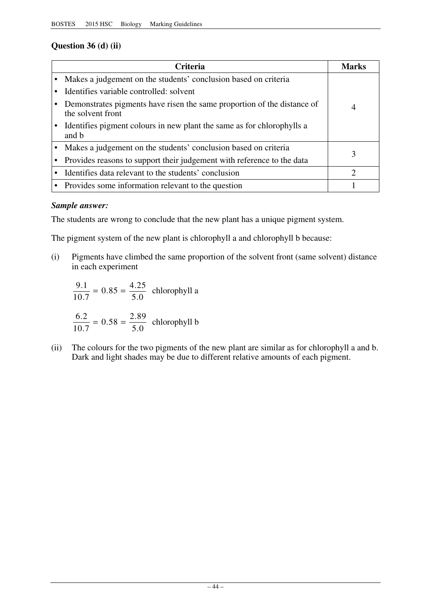## **Question 36 (d) (ii)**

| <b>Criteria</b>                                                                              | Marks                       |
|----------------------------------------------------------------------------------------------|-----------------------------|
| Makes a judgement on the students' conclusion based on criteria                              |                             |
| Identifies variable controlled: solvent                                                      |                             |
| Demonstrates pigments have risen the same proportion of the distance of<br>the solvent front | 4                           |
| Identifies pigment colours in new plant the same as for chlorophylls a<br>and b              |                             |
| Makes a judgement on the students' conclusion based on criteria                              | 3                           |
| Provides reasons to support their judgement with reference to the data                       |                             |
| Identifies data relevant to the students' conclusion                                         | $\mathcal{D}_{\mathcal{L}}$ |
| • Provides some information relevant to the question                                         |                             |

## *Sample answer:*

The students are wrong to conclude that the new plant has a unique pigment system.

The pigment system of the new plant is chlorophyll a and chlorophyll b because:

(i) Pigments have climbed the same proportion of the solvent front (same solvent) distance in each experiment

$$
\frac{9.1}{10.7} = 0.85 = \frac{4.25}{5.0}
$$
 chlorophyll a  

$$
\frac{6.2}{10.7} = 0.58 = \frac{2.89}{5.0}
$$
 chlorophyll b

(ii) The colours for the two pigments of the new plant are similar as for chlorophyll a and b. Dark and light shades may be due to different relative amounts of each pigment.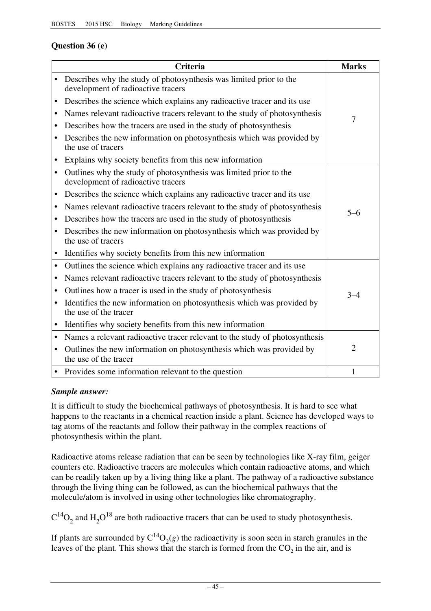## **Question 36 (e)**

|           | <b>Criteria</b>                                                                                          | <b>Marks</b>   |
|-----------|----------------------------------------------------------------------------------------------------------|----------------|
| $\bullet$ | Describes why the study of photosynthesis was limited prior to the<br>development of radioactive tracers |                |
| ٠         | Describes the science which explains any radioactive tracer and its use                                  |                |
| ٠         | Names relevant radioactive tracers relevant to the study of photosynthesis                               |                |
| ٠         | Describes how the tracers are used in the study of photosynthesis                                        | 7              |
| $\bullet$ | Describes the new information on photosynthesis which was provided by<br>the use of tracers              |                |
| $\bullet$ | Explains why society benefits from this new information                                                  |                |
| $\bullet$ | Outlines why the study of photosynthesis was limited prior to the<br>development of radioactive tracers  |                |
| ٠         | Describes the science which explains any radioactive tracer and its use                                  |                |
| ٠         | Names relevant radioactive tracers relevant to the study of photosynthesis                               | $5 - 6$        |
| ٠         | Describes how the tracers are used in the study of photosynthesis                                        |                |
| $\bullet$ | Describes the new information on photosynthesis which was provided by<br>the use of tracers              |                |
|           | Identifies why society benefits from this new information                                                |                |
| $\bullet$ | Outlines the science which explains any radioactive tracer and its use                                   |                |
| ٠         | Names relevant radioactive tracers relevant to the study of photosynthesis                               |                |
| ٠         | Outlines how a tracer is used in the study of photosynthesis                                             | $3 - 4$        |
| $\bullet$ | Identifies the new information on photosynthesis which was provided by<br>the use of the tracer          |                |
| $\bullet$ | Identifies why society benefits from this new information                                                |                |
| $\bullet$ | Names a relevant radioactive tracer relevant to the study of photosynthesis                              |                |
| $\bullet$ | Outlines the new information on photosynthesis which was provided by<br>the use of the tracer            | $\overline{2}$ |
|           | • Provides some information relevant to the question                                                     | $\mathbf{1}$   |

## *Sample answer:*

It is difficult to study the biochemical pathways of photosynthesis. It is hard to see what happens to the reactants in a chemical reaction inside a plant. Science has developed ways to tag atoms of the reactants and follow their pathway in the complex reactions of photosynthesis within the plant.

Radioactive atoms release radiation that can be seen by technologies like X-ray film, geiger counters etc. Radioactive tracers are molecules which contain radioactive atoms, and which can be readily taken up by a living thing like a plant. The pathway of a radioactive substance through the living thing can be followed, as can the biochemical pathways that the molecule/atom is involved in using other technologies like chromatography.

 $C^{14}O_2$  and H<sub>2</sub>O<sup>18</sup> are both radioactive tracers that can be used to study photosynthesis.

If plants are surrounded by  $C^{14}O_2(g)$  the radioactivity is soon seen in starch granules in the leaves of the plant. This shows that the starch is formed from the  $CO<sub>2</sub>$  in the air, and is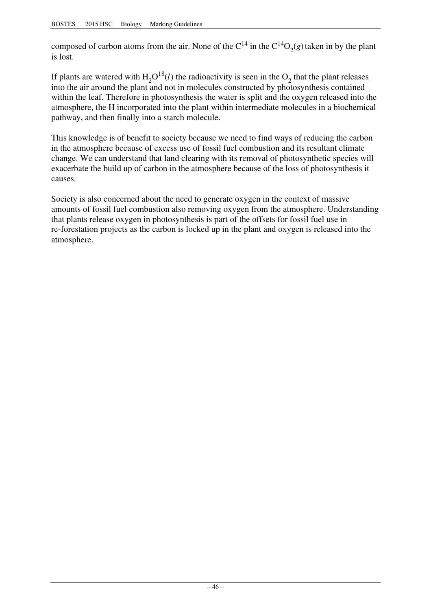composed of carbon atoms from the air. None of the  $C^{14}$  in the  $C^{14}O_2(g)$  taken in by the plant is lost.

If plants are watered with  $H_2O^{18}(l)$  the radioactivity is seen in the  $O_2$  that the plant releases into the air around the plant and not in molecules constructed by photosynthesis contained within the leaf. Therefore in photosynthesis the water is split and the oxygen released into the atmosphere, the H incorporated into the plant within intermediate molecules in a biochemical pathway, and then finally into a starch molecule.

This knowledge is of benefit to society because we need to find ways of reducing the carbon in the atmosphere because of excess use of fossil fuel combustion and its resultant climate change. We can understand that land clearing with its removal of photosynthetic species will exacerbate the build up of carbon in the atmosphere because of the loss of photosynthesis it causes.

Society is also concerned about the need to generate oxygen in the context of massive amounts of fossil fuel combustion also removing oxygen from the atmosphere. Understanding that plants release oxygen in photosynthesis is part of the offsets for fossil fuel use in re-forestation projects as the carbon is locked up in the plant and oxygen is released into the atmosphere.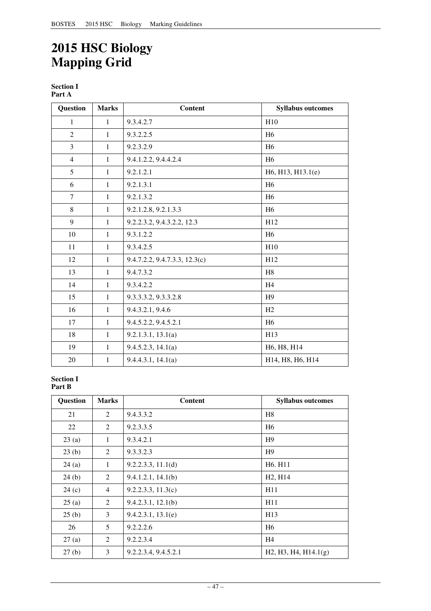# **2015 HSC Biology Mapping Grid**

**Section I Part A** 

| <b>Question</b> | <b>Marks</b> | <b>Content</b>                | <b>Syllabus outcomes</b> |
|-----------------|--------------|-------------------------------|--------------------------|
| $\mathbf{1}$    | $\mathbf{1}$ | 9.3.4.2.7                     | H10                      |
| $\overline{2}$  | $\mathbf{1}$ | 9.3.2.2.5                     | H <sub>6</sub>           |
| 3               | $\mathbf{1}$ | 9.2.3.2.9                     | H <sub>6</sub>           |
| $\overline{4}$  | $\mathbf{1}$ | 9.4.1.2.2, 9.4.4.2.4          | H <sub>6</sub>           |
| 5               | $\mathbf{1}$ | 9.2.1.2.1                     | H6, H13, H13.1(e)        |
| 6               | $\mathbf{1}$ | 9.2.1.3.1                     | H <sub>6</sub>           |
| 7               | $\mathbf{1}$ | 9.2.1.3.2                     | H <sub>6</sub>           |
| 8               | $\mathbf{1}$ | 9.2.1.2.8, 9.2.1.3.3          | H <sub>6</sub>           |
| 9               | $\mathbf{1}$ | 9.2.2.3.2, 9.4.3.2.2, 12.3    | H12                      |
| 10              | $\mathbf{1}$ | 9.3.1.2.2                     | H <sub>6</sub>           |
| 11              | $\mathbf{1}$ | 9.3.4.2.5                     | H10                      |
| 12              | $\mathbf{1}$ | 9.4.7.2.2, 9.4.7.3.3, 12.3(c) | H12                      |
| 13              | $\mathbf{1}$ | 9.4.7.3.2                     | H <sub>8</sub>           |
| 14              | $\mathbf{1}$ | 9.3.4.2.2                     | H <sub>4</sub>           |
| 15              | $\mathbf{1}$ | 9.3.3.3.2, 9.3.3.2.8          | H <sub>9</sub>           |
| 16              | $\mathbf{1}$ | 9.4.3.2.1, 9.4.6              | H <sub>2</sub>           |
| 17              | $\mathbf{1}$ | 9.4.5.2.2, 9.4.5.2.1          | H <sub>6</sub>           |
| 18              | $\mathbf{1}$ | 9.2.1.3.1, 13.1(a)            | H13                      |
| 19              | $\mathbf{1}$ | 9.4.5.2.3, 14.1(a)            | H6, H8, H14              |
| 20              | $\mathbf{1}$ | 9.4.4.3.1, 14.1(a)            | H14, H8, H6, H14         |

#### **Section I Part B**

| Question | <b>Marks</b>   | Content              | <b>Syllabus outcomes</b>         |
|----------|----------------|----------------------|----------------------------------|
| 21       | 2              | 9.4.3.3.2            | H8                               |
| 22       | 2              | 9.2.3.3.5            | H <sub>6</sub>                   |
| 23(a)    | 1              | 9.3.4.2.1            | H <sub>9</sub>                   |
| 23(b)    | 2              | 9.3.3.2.3            | H9                               |
| 24(a)    | 1              | 9.2.2.3.3, 11.1(d)   | H <sub>6</sub> . H <sub>11</sub> |
| 24(b)    | 2              | 9.4.1.2.1, 14.1(b)   | H <sub>2</sub> , H <sub>14</sub> |
| 24(c)    | $\overline{4}$ | 9.2.2.3.3, 11.3(c)   | H11                              |
| 25(a)    | 2              | 9.4.2.3.1, 12.1(b)   | H11                              |
| 25(b)    | 3              | 9.4.2.3.1, 13.1(e)   | H <sub>13</sub>                  |
| 26       | 5              | 9.2.2.2.6            | H <sub>6</sub>                   |
| 27(a)    | 2              | 9.2.2.3.4            | H <sub>4</sub>                   |
| 27(b)    | 3              | 9.2.2.3.4, 9.4.5.2.1 | H2, H3, H4, H14.1(g)             |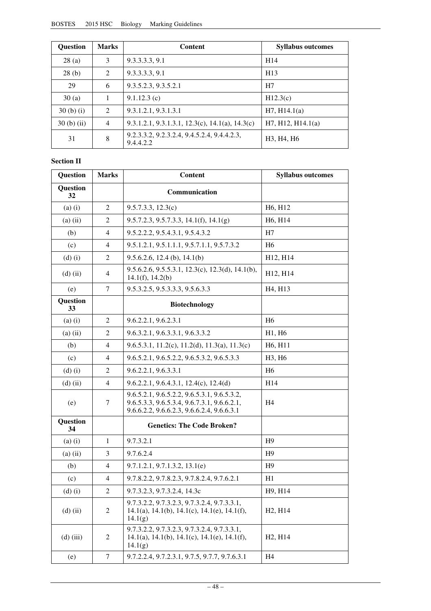| <b>Ouestion</b> | <b>Marks</b>   | <b>Content</b>                                           | <b>Syllabus outcomes</b> |
|-----------------|----------------|----------------------------------------------------------|--------------------------|
| 28(a)           | 3              | 9.3.3.3.3, 9.1                                           | H <sub>14</sub>          |
| 28(b)           | 2              | 9.3.3.3.3, 9.1                                           | H <sub>13</sub>          |
| 29              | 6              | 9.3.5.2.3, 9.3.5.2.1                                     | H7                       |
| 30(a)           |                | 9.1.12.3(c)                                              | H12.3(c)                 |
| $30(b)$ (i)     | 2              | 9.3.1.2.1, 9.3.1.3.1                                     | H7, H14.1(a)             |
| $30(b)$ (ii)    | $\overline{4}$ | 9.3.1.2.1, 9.3.1.3.1, 12.3(c), 14.1(a), 14.3(c)          | H7, H12, H14.1(a)        |
| 31              | 8              | 9.2.3.3.2, 9.2.3.2.4, 9.4.5.2.4, 9.4.4.2.3,<br>9.4.4.2.2 | H3, H4, H6               |

#### **Section II**

| Question       | <b>Marks</b>             | Content                                                                                                                                  | <b>Syllabus outcomes</b>         |
|----------------|--------------------------|------------------------------------------------------------------------------------------------------------------------------------------|----------------------------------|
| Question<br>32 |                          | Communication                                                                                                                            |                                  |
| $(a)$ $(i)$    | $\overline{2}$           | 9.5.7.3.3, 12.3(c)                                                                                                                       | H <sub>6</sub> , H <sub>12</sub> |
| $(a)$ $(ii)$   | 2                        | $9.5.7.2.3, 9.5.7.3.3, 14.1(f), 14.1(g)$                                                                                                 | H6, H14                          |
| (b)            | $\overline{4}$           | 9.5.2.2.2, 9.5.4.3.1, 9.5.4.3.2                                                                                                          | H7                               |
| (c)            | 4                        | 9.5.1.2.1, 9.5.1.1.1, 9.5.7.1.1, 9.5.7.3.2                                                                                               | H <sub>6</sub>                   |
| $(d)$ $(i)$    | $\overline{2}$           | $9.5.6.2.6$ , 12.4 (b), 14.1(b)                                                                                                          | H12, H14                         |
| $(d)$ (ii)     | 4                        | 9.5.6.2.6, 9.5.5.3.1, 12.3(c), 12.3(d), 14.1(b),<br>14.1(f), 14.2(b)                                                                     | H12, H14                         |
| (e)            | 7                        | 9.5.3.2.5, 9.5.3.3.3, 9.5.6.3.3                                                                                                          | H <sub>4</sub> , H <sub>13</sub> |
| Question<br>33 |                          | <b>Biotechnology</b>                                                                                                                     |                                  |
| $(a)$ $(i)$    | $\overline{2}$           | 9.6.2.2.1, 9.6.2.3.1                                                                                                                     | H <sub>6</sub>                   |
| $(a)$ $(ii)$   | 2                        | 9.6.3.2.1, 9.6.3.3.1, 9.6.3.3.2                                                                                                          | H1, H6                           |
| (b)            | 4                        | 9.6.5.3.1, 11.2(c), 11.2(d), 11.3(a), 11.3(c)                                                                                            | H6, H11                          |
| (c)            | 4                        | 9.6.5.2.1, 9.6.5.2.2, 9.6.5.3.2, 9.6.5.3.3                                                                                               | H3, H6                           |
| $(d)$ $(i)$    | $\overline{2}$           | 9.6.2.2.1, 9.6.3.3.1                                                                                                                     | H <sub>6</sub>                   |
| $(d)$ (ii)     | $\overline{4}$           | $9.6.2.2.1, 9.6.4.3.1, 12.4(c), 12.4(d)$                                                                                                 | H <sub>14</sub>                  |
| (e)            | 7                        | 9.6.5.2.1, 9.6.5.2.2, 9.6.5.3.1, 9.6.5.3.2,<br>9.6.5.3.3, 9.6.5.3.4, 9.6.7.3.1, 9.6.6.2.1,<br>9.6.6.2.2, 9.6.6.2.3, 9.6.6.2.4, 9.6.6.3.1 | H4                               |
| Question<br>34 |                          | <b>Genetics: The Code Broken?</b>                                                                                                        |                                  |
| $(a)$ $(i)$    | $\mathbf{1}$             | 9.7.3.2.1                                                                                                                                | H <sub>9</sub>                   |
| $(a)$ $(ii)$   | 3                        | 9.7.6.2.4                                                                                                                                | H <sub>9</sub>                   |
| (b)            | $\overline{4}$           | 9.7.1.2.1, 9.7.1.3.2, 13.1(e)                                                                                                            | H9                               |
| (c)            | $\overline{\mathcal{L}}$ | 9.7.8.2.2, 9.7.8.2.3, 9.7.8.2.4, 9.7.6.2.1                                                                                               | H1                               |
| $(d)$ $(i)$    | 2                        | 9.7.3.2.3, 9.7.3.2.4, 14.3c                                                                                                              | H9, H14                          |
| $(d)$ (ii)     | 2                        | 9.7.3.2.2, 9.7.3.2.3, 9.7.3.2.4, 9.7.3.3.1,<br>$14.1(a)$ , $14.1(b)$ , $14.1(c)$ , $14.1(e)$ , $14.1(f)$ ,<br>14.1(g)                    | H <sub>2</sub> , H <sub>14</sub> |
| $(d)$ (iii)    | 2                        | 9.7.3.2.2, 9.7.3.2.3, 9.7.3.2.4, 9.7.3.3.1,<br>14.1(a), 14.1(b), 14.1(c), 14.1(e), 14.1(f),<br>14.1(g)                                   | H <sub>2</sub> , H <sub>14</sub> |
| (e)            | 7                        | 9.7.2.2.4, 9.7.2.3.1, 9.7.5, 9.7.7, 9.7.6.3.1                                                                                            | H <sub>4</sub>                   |